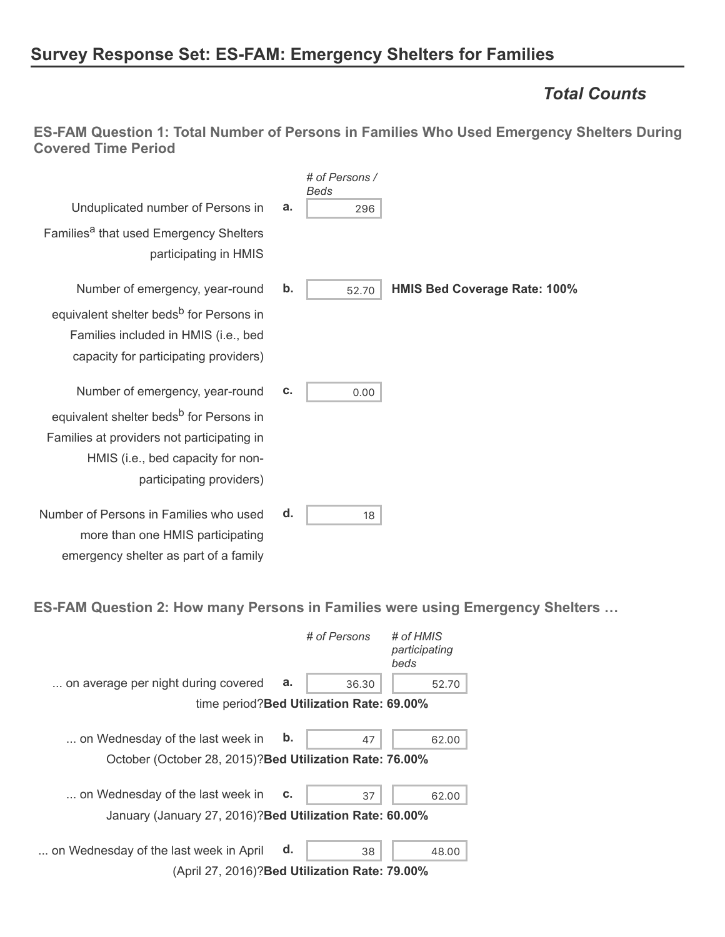# **Survey Response Set: ES-FAM: Emergency Shelters for Families**

### *Total Counts*

**ES-FAM Question 1: Total Number of Persons in Families Who Used Emergency Shelters During Covered Time Period**

|                                                                                                                                                                    |    | # of Persons /<br>Beds |                                     |
|--------------------------------------------------------------------------------------------------------------------------------------------------------------------|----|------------------------|-------------------------------------|
| Unduplicated number of Persons in                                                                                                                                  | a. | 296                    |                                     |
| Families <sup>a</sup> that used Emergency Shelters<br>participating in HMIS                                                                                        |    |                        |                                     |
| Number of emergency, year-round                                                                                                                                    | b. | 52.70                  | <b>HMIS Bed Coverage Rate: 100%</b> |
| equivalent shelter beds <sup>b</sup> for Persons in<br>Families included in HMIS (i.e., bed<br>capacity for participating providers)                               |    |                        |                                     |
| Number of emergency, year-round                                                                                                                                    | c. | 0.00                   |                                     |
| equivalent shelter beds <sup>b</sup> for Persons in<br>Families at providers not participating in<br>HMIS (i.e., bed capacity for non-<br>participating providers) |    |                        |                                     |
| Number of Persons in Families who used<br>more than one HMIS participating<br>emergency shelter as part of a family                                                | d. | 18                     |                                     |

**ES-FAM Question 2: How many Persons in Families were using Emergency Shelters …**

|                                                                                              |    | # of Persons                              | # of HMIS<br>participating<br>beds |
|----------------------------------------------------------------------------------------------|----|-------------------------------------------|------------------------------------|
| on average per night during covered                                                          | а. | 36.30                                     | 52.70                              |
|                                                                                              |    | time period? Bed Utilization Rate: 69.00% |                                    |
| on Wednesday of the last week in<br>October (October 28, 2015)? Bed Utilization Rate: 76.00% | b. | 47                                        | 62.00                              |
| on Wednesday of the last week in                                                             | c. | 37                                        | 62.00                              |
| January (January 27, 2016)? Bed Utilization Rate: 60.00%                                     |    |                                           |                                    |
| on Wednesday of the last week in April                                                       | d. | 38                                        | 48.00                              |
| (April 27, 2016)? Bed Utilization Rate: 79.00%                                               |    |                                           |                                    |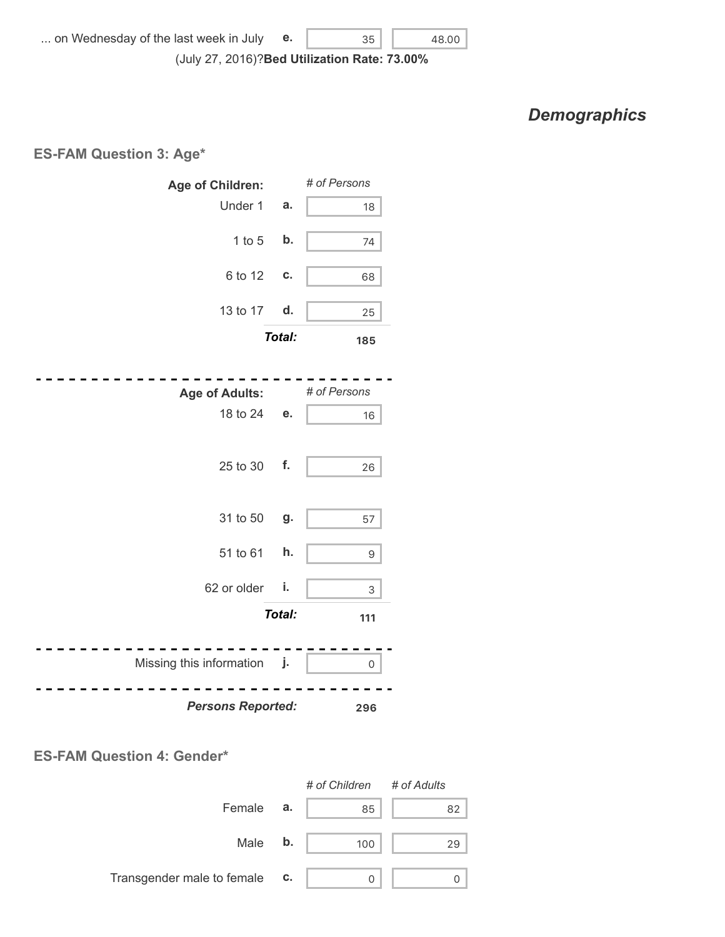(July 27, 2016)? **Bed Utilization Rate: 73.00%**

### *Demographics*

#### **ES-FAM Question 3: Age\***



#### **ES-FAM Question 4: Gender\***

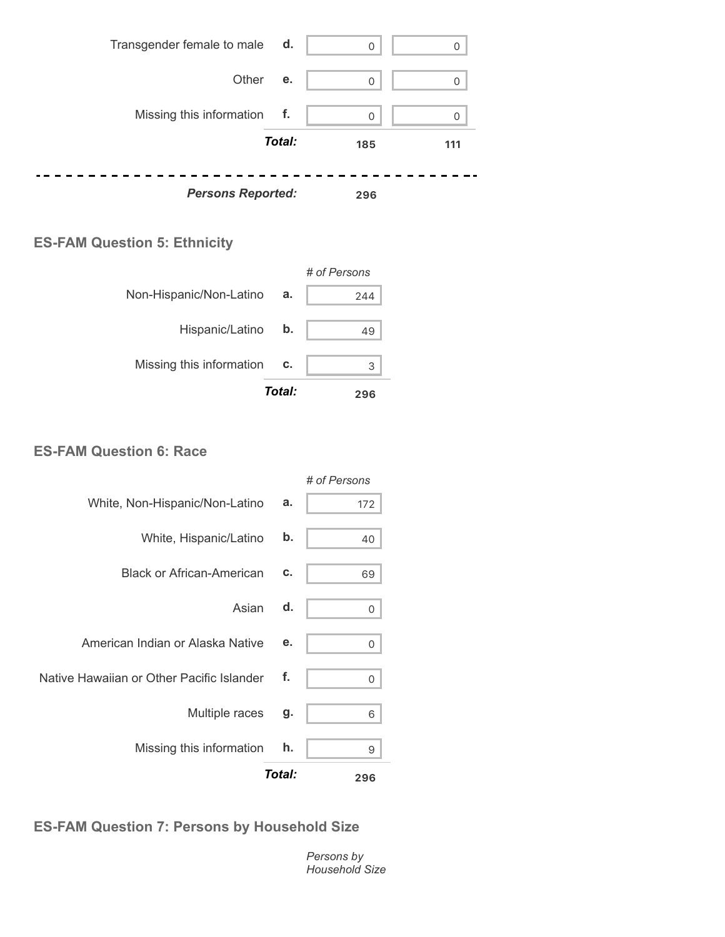

#### **ES-FAM Question 5: Ethnicity**



#### **ES-FAM Question 6: Race**

|                                           |        | # of Persons |
|-------------------------------------------|--------|--------------|
| White, Non-Hispanic/Non-Latino            | a.     | 172          |
| White, Hispanic/Latino                    | b.     | 40           |
| <b>Black or African-American</b>          | c.     | 69           |
| Asian                                     | d.     | 0            |
| American Indian or Alaska Native          | е.     | 0            |
| Native Hawaiian or Other Pacific Islander | f.     | 0            |
| Multiple races                            | g.     | 6            |
| Missing this information                  | h.     | 9            |
|                                           | Total: | 296          |

### **ES-FAM Question 7: Persons by Household Size**

*Persons by Household Size*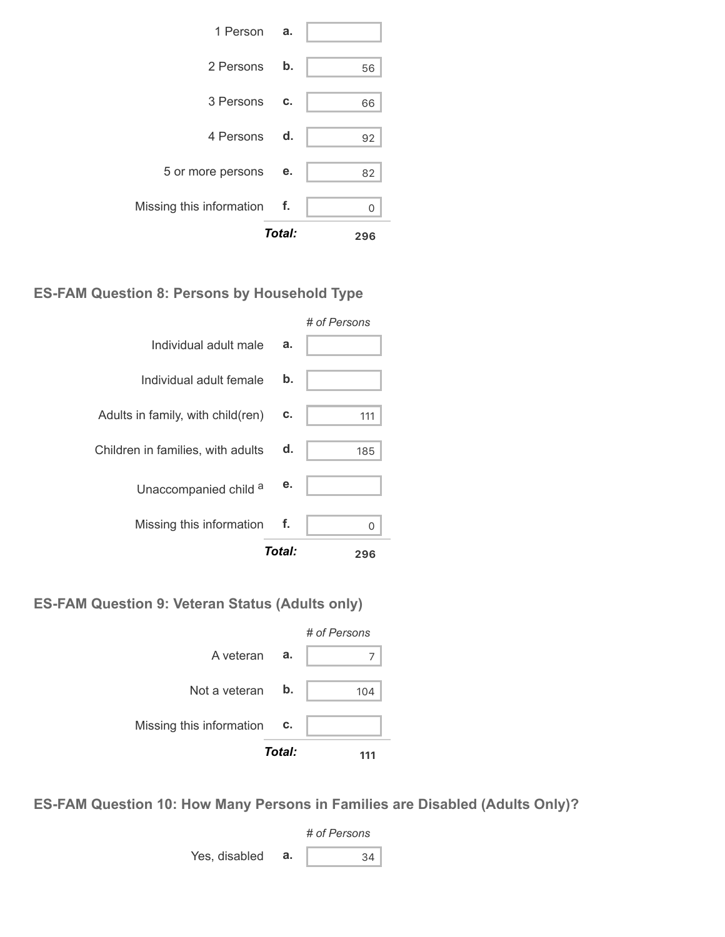|                             | Total: | 296 |
|-----------------------------|--------|-----|
| Missing this information f. |        |     |
| 5 or more persons           | е.     | 82  |
| 4 Persons d.                |        | 92  |
| 3 Persons                   | C.     | 66  |
| 2 Persons b.                |        | 56  |
| 1 Person <b>a.</b>          |        |     |

### **ES-FAM Question 8: Persons by Household Type**

|                                   | Total: | 296          |
|-----------------------------------|--------|--------------|
| Missing this information          | f.     | ∩            |
| Unaccompanied child a             | е.     |              |
| Children in families, with adults | d.     | 185          |
| Adults in family, with child(ren) | C.     | 111          |
| Individual adult female           | b.     |              |
| Individual adult male             | a.     |              |
|                                   |        | # of Persons |

**ES-FAM Question 9: Veteran Status (Adults only)**



**ES-FAM Question 10: How Many Persons in Families are Disabled (Adults Only)?**

*# of Persons* Yes, disabled  $\mathbf{a}$ .  $\begin{vmatrix} 34 \end{vmatrix}$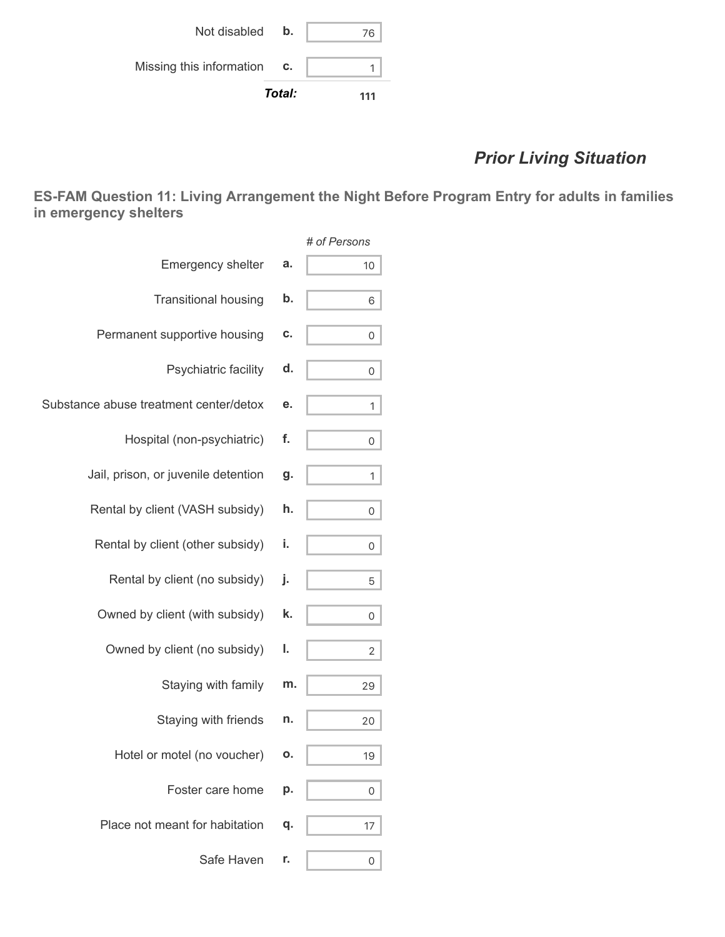|                          | Total: | 111 |
|--------------------------|--------|-----|
| Missing this information | C.     |     |
| Not disabled             | b.     | 76  |

# *Prior Living Situation*

**ES-FAM Question 11: Living Arrangement the Night Before Program Entry for adults in families in emergency shelters**

|                                        |    | # of Persons   |
|----------------------------------------|----|----------------|
| <b>Emergency shelter</b>               | a. | 10             |
| <b>Transitional housing</b>            | b. | 6              |
| Permanent supportive housing           | C. | 0              |
| Psychiatric facility                   | d. | 0              |
| Substance abuse treatment center/detox | е. | 1              |
| Hospital (non-psychiatric)             | f. | 0              |
| Jail, prison, or juvenile detention    | g. | 1              |
| Rental by client (VASH subsidy)        | h. | 0              |
| Rental by client (other subsidy)       | i. | 0              |
| Rental by client (no subsidy)          | j. | 5              |
| Owned by client (with subsidy)         | k. | 0              |
| Owned by client (no subsidy)           | ı. | $\overline{2}$ |
| Staying with family                    | m. | 29             |
| Staying with friends                   | n. | 20             |
| Hotel or motel (no voucher)            | ο. | 19             |
| Foster care home                       | р. | 0              |
| Place not meant for habitation         | q. | 17             |
| Safe Haven                             | r. | 0              |
|                                        |    |                |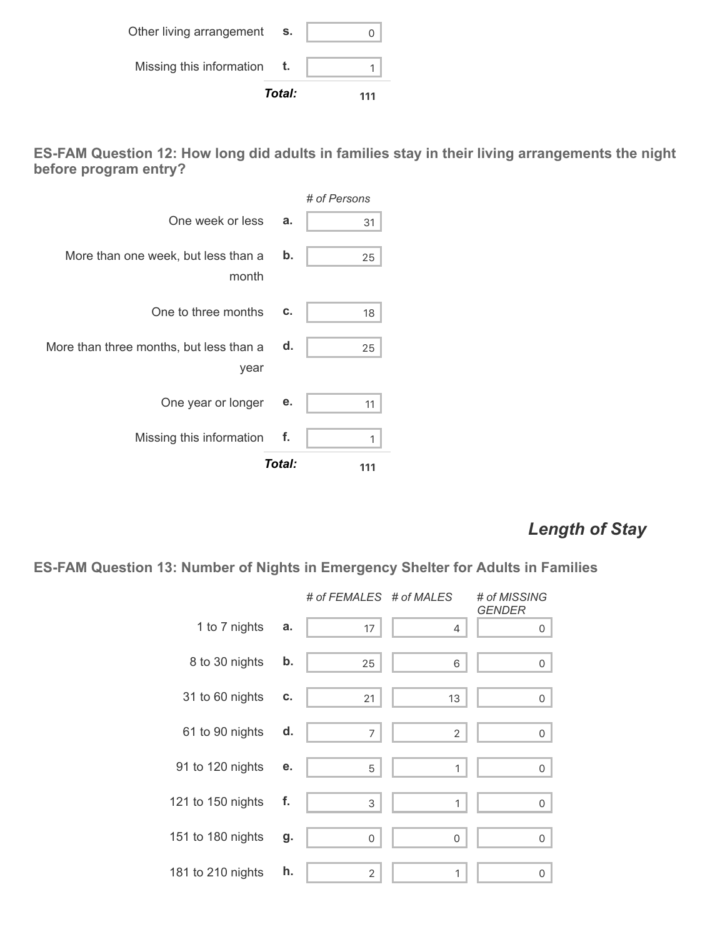|                          | Total: | 111 |
|--------------------------|--------|-----|
| Missing this information |        |     |
| Other living arrangement | S.     |     |

**ES-FAM Question 12: How long did adults in families stay in their living arrangements the night before program entry?**

|                                                 |        | # of Persons |
|-------------------------------------------------|--------|--------------|
| One week or less                                | a.     | 31           |
| More than one week, but less than a<br>month    | b.     | 25           |
| One to three months                             | c.     | 18           |
| More than three months, but less than a<br>year | d.     | 25           |
| One year or longer                              | е.     | 11           |
| Missing this information                        | f.     | 1            |
|                                                 | Total: | 111          |

# *Length of Stay*

**ES-FAM Question 13: Number of Nights in Emergency Shelter for Adults in Families**

|                   |    | # of FEMALES # of MALES |                | # of MISSING<br><b>GENDER</b> |
|-------------------|----|-------------------------|----------------|-------------------------------|
| 1 to 7 nights     | a. | 17                      | 4              | 0                             |
| 8 to 30 nights    | b. | 25                      | 6              | 0                             |
| 31 to 60 nights   | C. | 21                      | 13             | 0                             |
| 61 to 90 nights   | d. | 7                       | $\overline{2}$ | 0                             |
| 91 to 120 nights  | е. | 5                       | 1              | 0                             |
| 121 to 150 nights | f. | 3                       | 1              | 0                             |
| 151 to 180 nights | g. | $\overline{0}$          | $\mathbf 0$    | 0                             |
| 181 to 210 nights | h. | $\overline{2}$          | 1              | 0                             |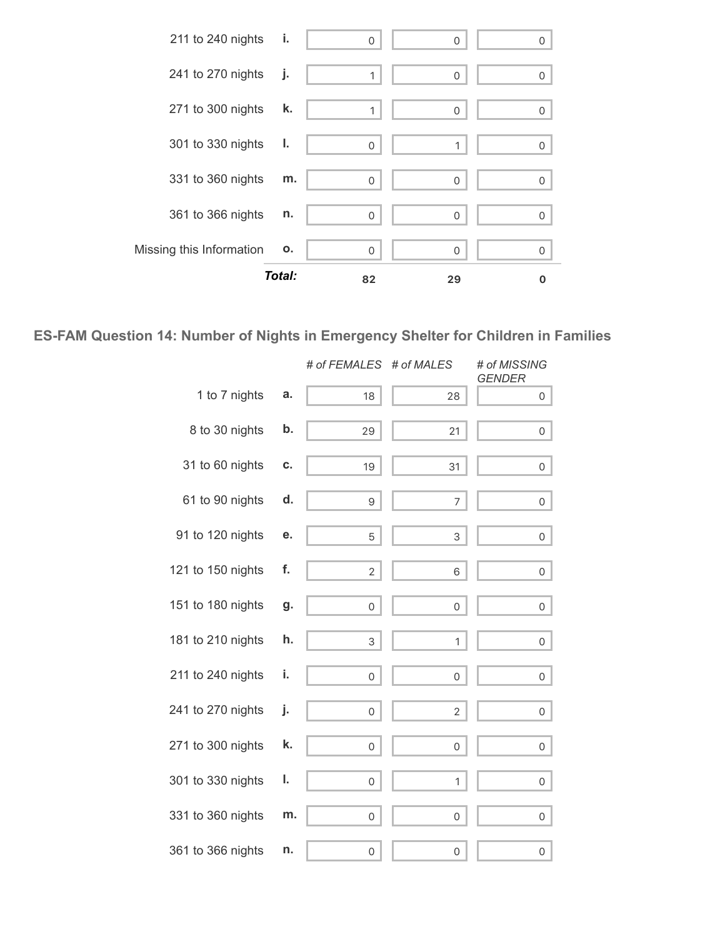

### **ES-FAM Question 14: Number of Nights in Emergency Shelter for Children in Families**

|                   |    | # of FEMALES   | # of MALES     | # of MISSING<br><b>GENDER</b> |
|-------------------|----|----------------|----------------|-------------------------------|
| 1 to 7 nights     | a. | 18             | 28             | 0                             |
| 8 to 30 nights    | b. | 29             | 21             | $\mathsf{O}\xspace$           |
| 31 to 60 nights   | c. | 19             | 31             | $\mathsf{O}$                  |
| 61 to 90 nights   | d. | 9              | 7              | $\mathsf{O}$                  |
| 91 to 120 nights  | е. | 5              | 3              | $\mathsf{O}$                  |
| 121 to 150 nights | f. | $\overline{2}$ | 6              | $\mathsf{O}\xspace$           |
| 151 to 180 nights | g. | 0              | 0              | 0                             |
| 181 to 210 nights | h. | 3              | $\mathbf{1}$   | $\mathbf 0$                   |
| 211 to 240 nights | i. | 0              | $\mathsf O$    | $\mathsf{O}$                  |
| 241 to 270 nights | j. | $\mathbf 0$    | $\overline{2}$ | 0                             |
| 271 to 300 nights | k. | 0              | 0              | 0                             |
| 301 to 330 nights | ı. | 0              | 1              | $\overline{0}$                |
| 331 to 360 nights | m. | 0              | 0              | 0                             |
| 361 to 366 nights | n. | 0              | 0              | 0                             |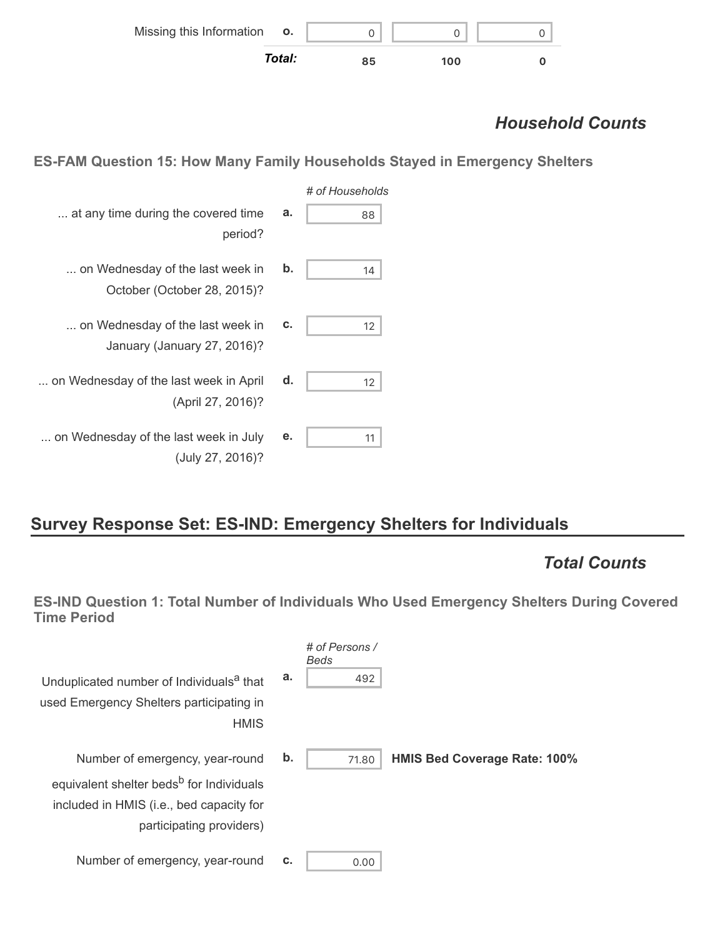| Missing this Information o. |        |    |     |  |
|-----------------------------|--------|----|-----|--|
|                             | Total: | 85 | 100 |  |

# *Household Counts*

**ES-FAM Question 15: How Many Family Households Stayed in Emergency Shelters**

| # of Households |    |                                                                 |
|-----------------|----|-----------------------------------------------------------------|
| 88              | a. | at any time during the covered time<br>period?                  |
| 14              | b. | on Wednesday of the last week in<br>October (October 28, 2015)? |
| 12              | c. | on Wednesday of the last week in<br>January (January 27, 2016)? |
| 12              | d. | on Wednesday of the last week in April<br>(April 27, 2016)?     |
| 11              | е. | on Wednesday of the last week in July<br>(July 27, 2016)?       |

# **Survey Response Set: ES-IND: Emergency Shelters for Individuals**

### *Total Counts*

**ES-IND Question 1: Total Number of Individuals Who Used Emergency Shelters During Covered Time Period**

| Unduplicated number of Individuals <sup>a</sup> that<br>used Emergency Shelters participating in<br><b>HMIS</b>                                                 | a. | # of Persons /<br><b>Beds</b><br>492 |                                     |
|-----------------------------------------------------------------------------------------------------------------------------------------------------------------|----|--------------------------------------|-------------------------------------|
| Number of emergency, year-round<br>equivalent shelter beds <sup>b</sup> for Individuals<br>included in HMIS (i.e., bed capacity for<br>participating providers) | b. | 71.80                                | <b>HMIS Bed Coverage Rate: 100%</b> |
| Number of emergency, year-round                                                                                                                                 | c. | 0.00                                 |                                     |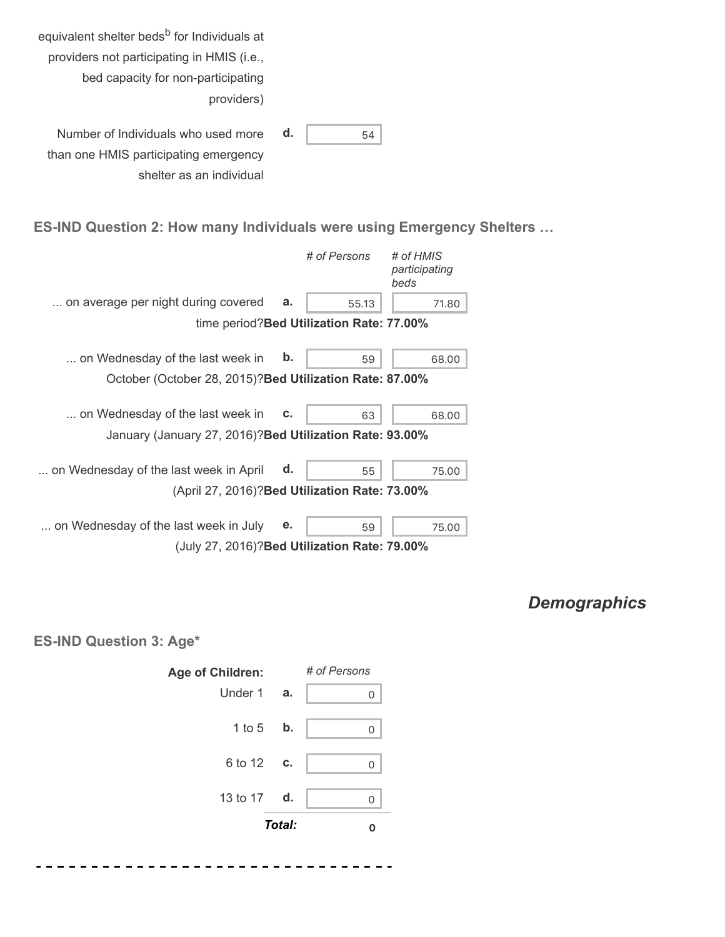| equivalent shelter beds <sup>b</sup> for Individuals at |    |    |
|---------------------------------------------------------|----|----|
| providers not participating in HMIS (i.e.,              |    |    |
| bed capacity for non-participating                      |    |    |
| providers)                                              |    |    |
|                                                         |    |    |
| Number of Individuals who used more                     | d. | 54 |
| than one HMIS participating emergency                   |    |    |
| shelter as an individual                                |    |    |

### **ES-IND Question 2: How many Individuals were using Emergency Shelters …**

|                                                          |               | # of Persons                              | # of HMIS<br>participating<br>beds |
|----------------------------------------------------------|---------------|-------------------------------------------|------------------------------------|
| on average per night during covered                      | a.            | 55.13                                     | 71.80                              |
|                                                          |               | time period? Bed Utilization Rate: 77.00% |                                    |
| on Wednesday of the last week in                         | $\mathbf b$ . | 59                                        | 68.00                              |
| October (October 28, 2015)? Bed Utilization Rate: 87.00% |               |                                           |                                    |
| on Wednesday of the last week in                         | c.            | 63                                        | 68.00                              |
| January (January 27, 2016)? Bed Utilization Rate: 93.00% |               |                                           |                                    |
| on Wednesday of the last week in April                   | d.            | 55                                        | 75.00                              |
| (April 27, 2016)? Bed Utilization Rate: 73.00%           |               |                                           |                                    |
| on Wednesday of the last week in July                    | е.            | 59                                        | 75.00                              |
| (July 27, 2016)? Bed Utilization Rate: 79.00%            |               |                                           |                                    |

# *Demographics*

**ES-IND Question 3: Age\***



. . .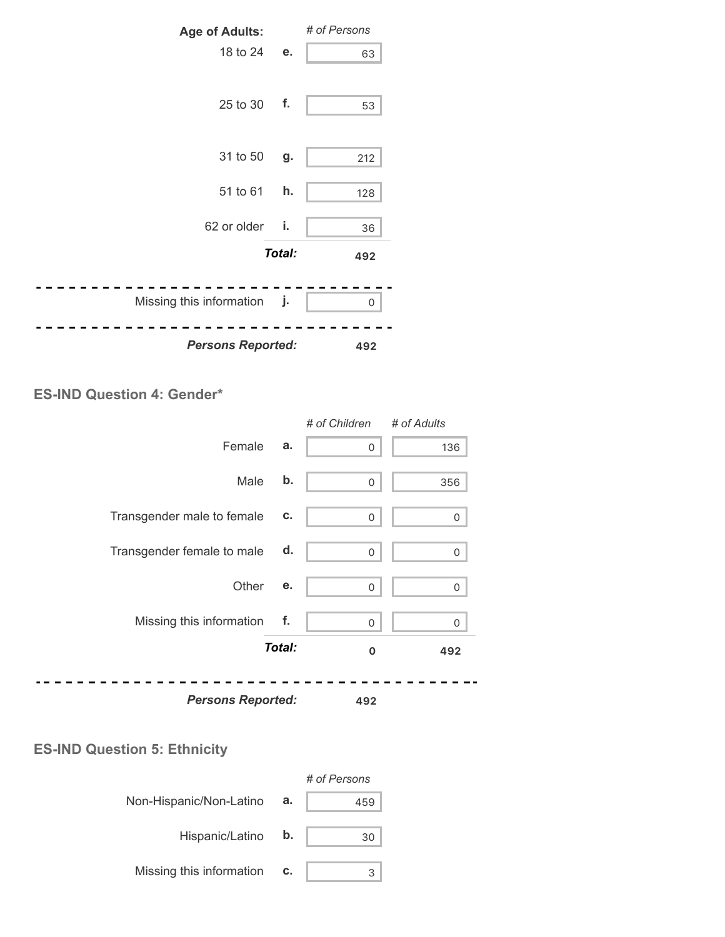

#### **ES-IND Question 4: Gender\***

|                            |        | # of Children | # of Adults |
|----------------------------|--------|---------------|-------------|
| Female                     | a.     | 0             | 136         |
| Male                       | b.     | 0             | 356         |
| Transgender male to female | c.     | 0             | 0           |
| Transgender female to male | d.     | 0             | 0           |
| Other                      | е.     | $\Omega$      | 0           |
| Missing this information   | f.     | $\Omega$      | 0           |
|                            | Total: | $\mathbf 0$   | 492         |
| <b>Persons Reported:</b>   |        | 492           |             |

### **ES-IND Question 5: Ethnicity**

|                          |    | # of Persons |
|--------------------------|----|--------------|
| Non-Hispanic/Non-Latino  | а. | 459          |
| Hispanic/Latino          | b. | 30           |
| Missing this information | c. |              |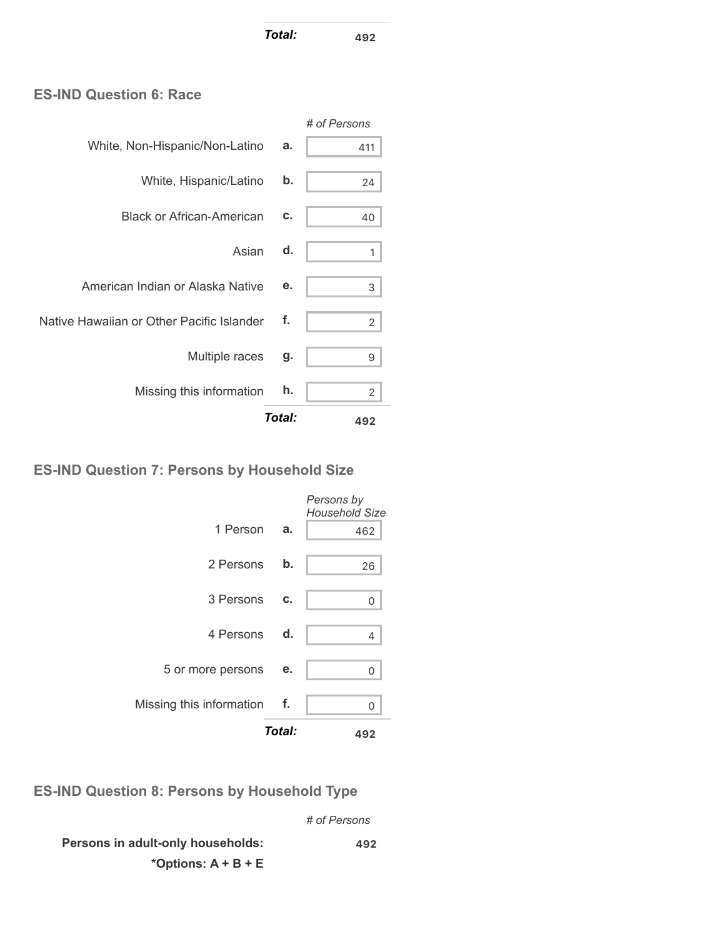*Total:* **<sup>492</sup>**

### **ES-IND Question 6: Race**

|                                           |        | # of Persons   |
|-------------------------------------------|--------|----------------|
| White, Non-Hispanic/Non-Latino            | a.     | 411            |
| White, Hispanic/Latino                    | b.     | 24             |
| <b>Black or African-American</b>          | c.     | 40             |
| Asian                                     | d.     | 1              |
| American Indian or Alaska Native          | е.     | 3              |
| Native Hawaiian or Other Pacific Islander | f.     | $\overline{2}$ |
| Multiple races                            | g.     | 9              |
| Missing this information                  | h.     | 2              |
|                                           | Total: | 492            |

### **ES-IND Question 7: Persons by Household Size**

|                             | Total: | 492                                 |
|-----------------------------|--------|-------------------------------------|
| Missing this information f. |        | U                                   |
| 5 or more persons           | е.     | 0                                   |
| 4 Persons d.                |        | 4                                   |
| 3 Persons                   | C.     | O                                   |
| 2 Persons                   | b.     | 26                                  |
| 1 Person                    | а.     | 462                                 |
|                             |        | Persons by<br><b>Household Size</b> |

**ES-IND Question 8: Persons by Household Type**

*# of Persons*

**Persons in adult-only households: \*Options: A + B + E 492**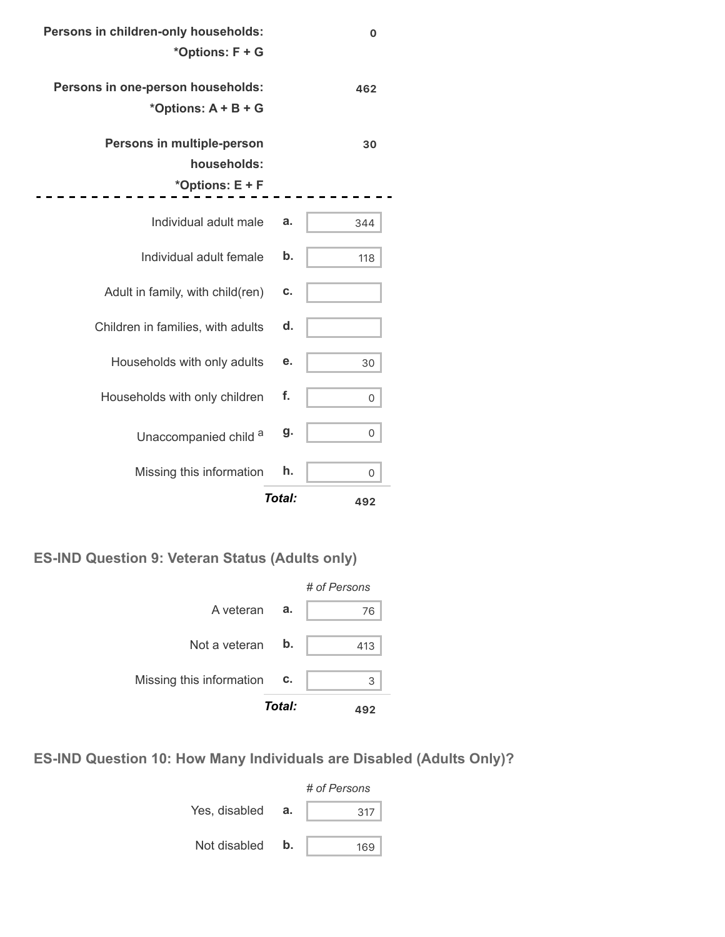| $\mathbf 0$ |        | Persons in children-only households:<br>*Options: F + G      |
|-------------|--------|--------------------------------------------------------------|
| 462         |        | Persons in one-person households:<br>*Options: A + B + G     |
| 30          |        | Persons in multiple-person<br>households:<br>*Options: E + F |
|             |        |                                                              |
| 344         | a.     | Individual adult male                                        |
| 118         | b.     | Individual adult female                                      |
|             | c.     | Adult in family, with child(ren)                             |
|             | d.     | Children in families, with adults                            |
| 30          | е.     | Households with only adults                                  |
| 0           | f.     | Households with only children                                |
| 0           | g.     | Unaccompanied child a                                        |
| 0           | h.     | Missing this information                                     |
| 492         | Total: |                                                              |
|             |        |                                                              |

.

**ES-IND Question 9: Veteran Status (Adults only)**



**ES-IND Question 10: How Many Individuals are Disabled (Adults Only)?**

|               |    | # of Persons |  |  |
|---------------|----|--------------|--|--|
| Yes, disabled | а. | 317          |  |  |
| Not disabled  | b. | 169          |  |  |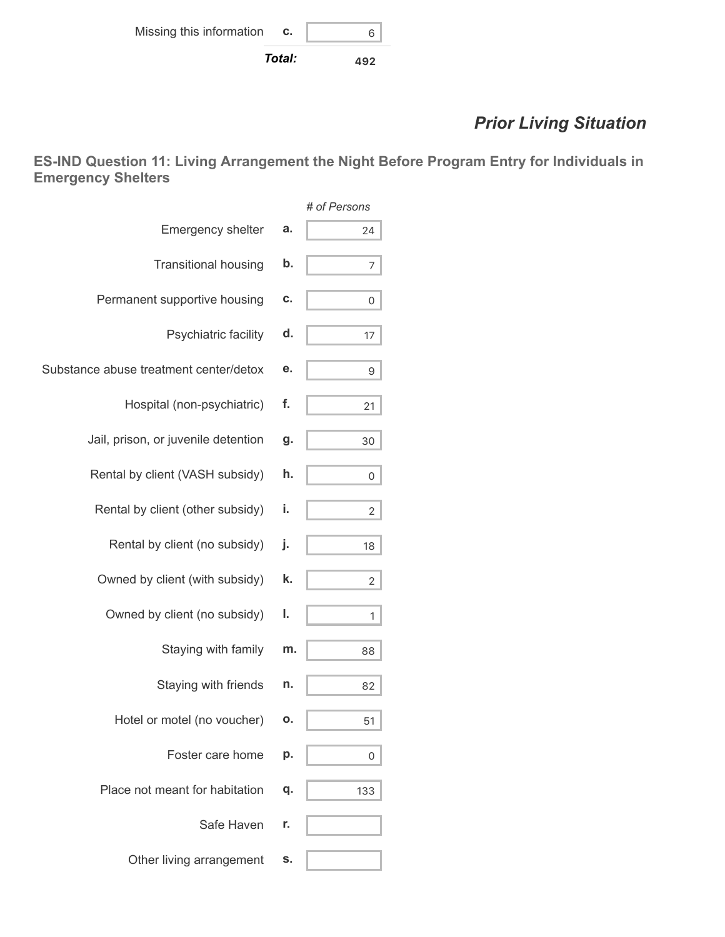# *Prior Living Situation*

**ES-IND Question 11: Living Arrangement the Night Before Program Entry for Individuals in Emergency Shelters**

|                                        |    | # of Persons   |
|----------------------------------------|----|----------------|
| Emergency shelter                      | a. | 24             |
| <b>Transitional housing</b>            | b. | 7              |
| Permanent supportive housing           | c. | 0              |
| Psychiatric facility                   | d. | 17             |
| Substance abuse treatment center/detox | е. | 9              |
| Hospital (non-psychiatric)             | f. | 21             |
| Jail, prison, or juvenile detention    | g. | 30             |
| Rental by client (VASH subsidy)        | h. | 0              |
| Rental by client (other subsidy)       | i. | $\overline{2}$ |
| Rental by client (no subsidy)          | j. | 18             |
| Owned by client (with subsidy)         | k. | 2              |
| Owned by client (no subsidy)           | ı. | 1              |
| Staying with family                    | m. | 88             |
| Staying with friends                   | n. | 82             |
| Hotel or motel (no voucher)            | Ο. | 51             |
| Foster care home                       | р. | 0              |
| Place not meant for habitation         | q. | 133            |
| Safe Haven                             | r. |                |
| Other living arrangement               | s. |                |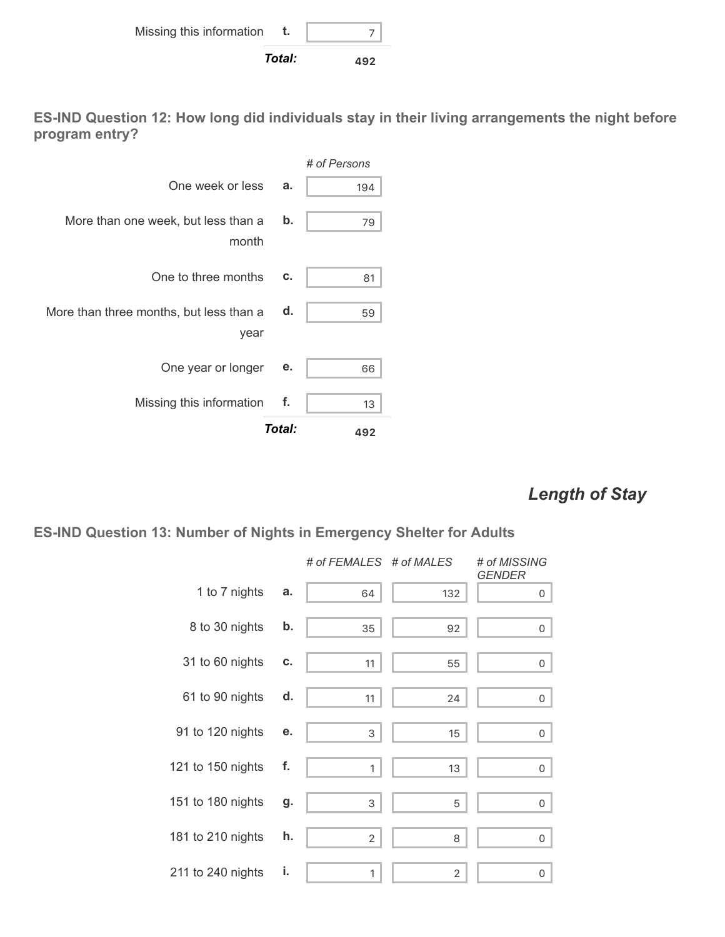

**ES-IND Question 12: How long did individuals stay in their living arrangements the night before program entry?**



### *Length of Stay*

#### **ES-IND Question 13: Number of Nights in Emergency Shelter for Adults**

|                   |    | # of FEMALES # of MALES |                | # of MISSING<br><b>GENDER</b> |
|-------------------|----|-------------------------|----------------|-------------------------------|
| 1 to 7 nights     | a. | 64                      | 132            | 0                             |
| 8 to 30 nights    | b. | 35                      | 92             | 0                             |
| 31 to 60 nights   | C. | 11                      | 55             | 0                             |
| 61 to 90 nights   | d. | 11                      | 24             | 0                             |
| 91 to 120 nights  | е. | 3                       | 15             | 0                             |
| 121 to 150 nights | f. | 1                       | 13             | 0                             |
| 151 to 180 nights | g. | 3                       | 5              | 0                             |
| 181 to 210 nights | h. | $\overline{2}$          | 8              | 0                             |
| 211 to 240 nights | i. | 1                       | $\overline{2}$ | 0                             |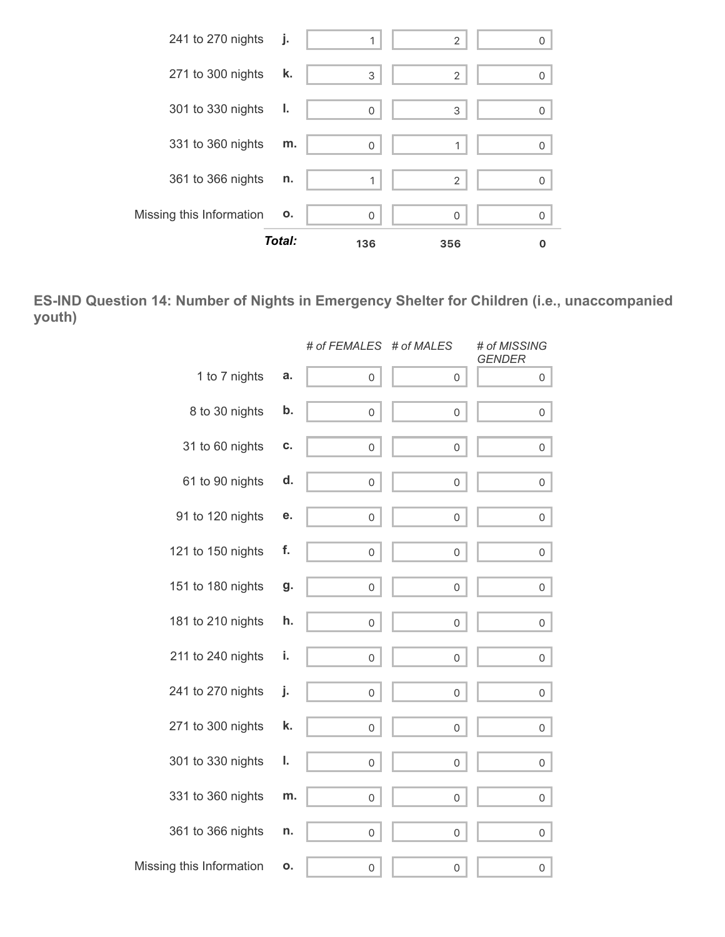

**ES-IND Question 14: Number of Nights in Emergency Shelter for Children (i.e., unaccompanied youth)**

|                          |    | # of FEMALES # of MALES |                     | # of MISSING<br><b>GENDER</b> |
|--------------------------|----|-------------------------|---------------------|-------------------------------|
| 1 to 7 nights            | a. | $\mathsf{O}\xspace$     | 0                   | 0                             |
| 8 to 30 nights           | b. | 0                       | 0                   | 0                             |
| 31 to 60 nights          | C. | 0                       | 0                   | 0                             |
| 61 to 90 nights          | d. | 0                       | 0                   | 0                             |
| 91 to 120 nights         | е. | $\mathsf{O}\xspace$     | 0                   | 0                             |
| 121 to 150 nights        | f. | $\mathsf{O}\xspace$     | $\mathsf{O}\xspace$ | 0                             |
| 151 to 180 nights        | g. | 0                       | 0                   | 0                             |
| 181 to 210 nights        | h. | 0                       | 0                   | 0                             |
| 211 to 240 nights        | i. | 0                       | 0                   | 0                             |
| 241 to 270 nights        | j. | 0                       | 0                   | 0                             |
| 271 to 300 nights        | k. | $\mathsf{O}\xspace$     | $\mathsf{O}\xspace$ | 0                             |
| 301 to 330 nights        | ı. | 0                       | 0                   | 0                             |
| 331 to 360 nights        | m. | 0                       | $\mathbf 0$         | $\mathsf{O}\xspace$           |
| 361 to 366 nights        | n. | 0                       | $\mathbf 0$         | 0                             |
| Missing this Information | o. | 0                       | 0                   | $\mathbf 0$                   |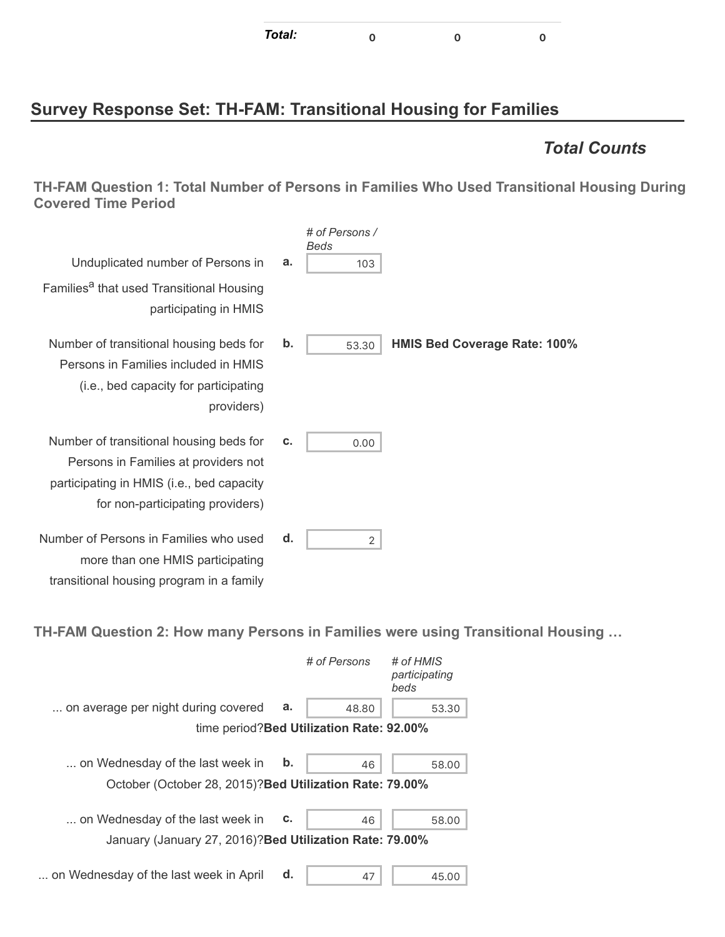| Total: |  |  |  |
|--------|--|--|--|
|--------|--|--|--|

# **Survey Response Set: TH-FAM: Transitional Housing for Families**

### *Total Counts*

**TH-FAM Question 1: Total Number of Persons in Families Who Used Transitional Housing During Covered Time Period**

|                                                                                                                                                                  |    | # of Persons /<br>Beds |                                     |
|------------------------------------------------------------------------------------------------------------------------------------------------------------------|----|------------------------|-------------------------------------|
| Unduplicated number of Persons in                                                                                                                                | a. | 103                    |                                     |
| Families <sup>a</sup> that used Transitional Housing<br>participating in HMIS                                                                                    |    |                        |                                     |
| Number of transitional housing beds for<br>Persons in Families included in HMIS<br>(i.e., bed capacity for participating<br>providers)                           | b. | 53.30                  | <b>HMIS Bed Coverage Rate: 100%</b> |
| Number of transitional housing beds for<br>Persons in Families at providers not<br>participating in HMIS (i.e., bed capacity<br>for non-participating providers) | c. | 0.00                   |                                     |
| Number of Persons in Families who used<br>more than one HMIS participating                                                                                       | d. | 2                      |                                     |

**TH-FAM Question 2: How many Persons in Families were using Transitional Housing …**

|                                                          |    | # of Persons                              | # of HMIS<br>participating<br>beds |
|----------------------------------------------------------|----|-------------------------------------------|------------------------------------|
| on average per night during covered                      | a. | 48.80                                     | 53.30                              |
|                                                          |    | time period? Bed Utilization Rate: 92.00% |                                    |
| on Wednesday of the last week in                         | b. | 46                                        | 58.00                              |
| October (October 28, 2015)? Bed Utilization Rate: 79.00% |    |                                           |                                    |
| on Wednesday of the last week in                         | c. | 46                                        | 58.00                              |
| January (January 27, 2016)? Bed Utilization Rate: 79.00% |    |                                           |                                    |
| on Wednesday of the last week in April                   | d. | 47                                        | 45.00                              |

transitional housing program in a family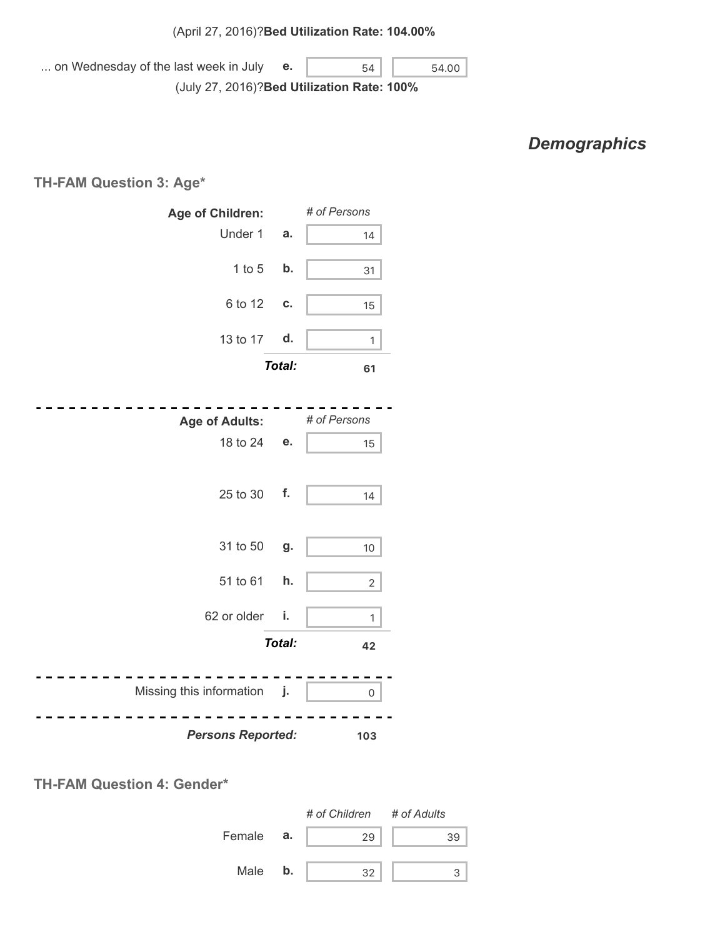... on Wednesday of the last week in July (July 27, 2016)? **Bed Utilization Rate: 100% e.**  $\begin{array}{|c|c|c|c|c|} \hline \textbf{6} & \textbf{54} & \textbf{54.00} \hline \end{array}$ 

# *Demographics*

**TH-FAM Question 3: Age\***

| Age of Children:            |               | # of Persons   |
|-----------------------------|---------------|----------------|
| Under 1                     | a.            | 14             |
| $1$ to $5$                  | b.            | 31             |
| 6 to 12                     | C.            | 15             |
| 13 to 17                    | d.            | $\mathbf{1}$   |
|                             | Total:        | 61             |
|                             |               |                |
| <b>Age of Adults:</b>       |               | # of Persons   |
| 18 to 24                    | е.            | 15             |
|                             |               |                |
| 25 to 30                    | f.            | 14             |
|                             |               |                |
| 31 to 50                    | g.            | 10             |
| 51 to 61                    | h.            |                |
|                             |               | $\overline{2}$ |
| 62 or older                 | i.            | 1              |
|                             | <b>Total:</b> | 42             |
|                             |               |                |
| Missing this information j. |               | 0              |
| <b>Persons Reported:</b>    |               | 103            |



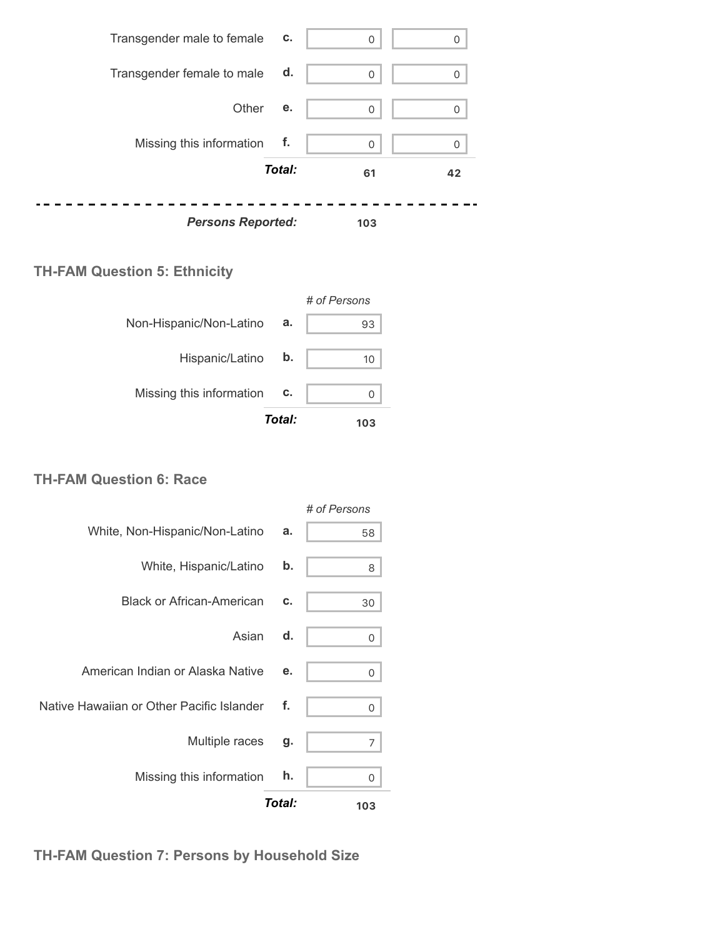

### **TH-FAM Question 5: Ethnicity**

|                          |        | # of Persons |
|--------------------------|--------|--------------|
| Non-Hispanic/Non-Latino  | а.     | 93           |
| Hispanic/Latino          | b.     | 10           |
| Missing this information | c.     |              |
|                          | Total: | 103          |

#### **TH-FAM Question 6: Race**

|                                           |        | # of Persons |
|-------------------------------------------|--------|--------------|
| White, Non-Hispanic/Non-Latino            | a.     | 58           |
| White, Hispanic/Latino                    | b.     | 8            |
| <b>Black or African-American</b>          | c.     | 30           |
| Asian                                     | d.     | 0            |
| American Indian or Alaska Native          | е.     | 0            |
| Native Hawaiian or Other Pacific Islander | f.     | 0            |
| Multiple races                            | g.     | 7            |
| Missing this information                  | h.     | 0            |
|                                           | Total: | 103          |

**TH-FAM Question 7: Persons by Household Size**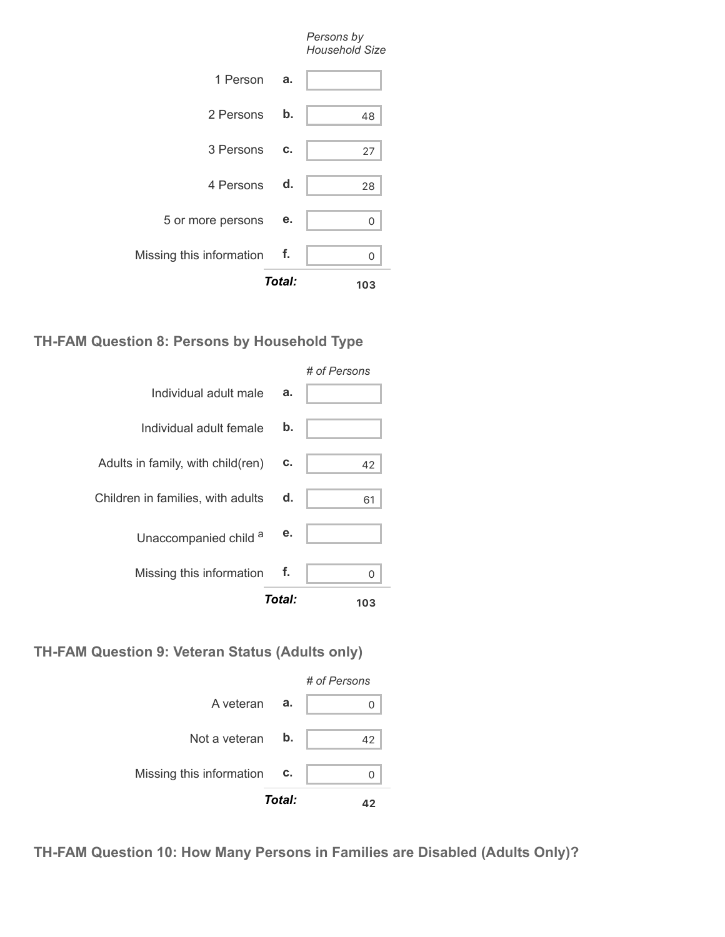|                          | Total: | 103                                 |
|--------------------------|--------|-------------------------------------|
| Missing this information | $-$ f. | 0                                   |
| 5 or more persons        | е.     | 0                                   |
| 4 Persons                | d.     | 28                                  |
| 3 Persons                | c.     | 27                                  |
| 2 Persons                | b.     | 48                                  |
| 1 Person                 | a.     |                                     |
|                          |        | Persons by<br><b>Household Size</b> |

### **TH-FAM Question 8: Persons by Household Type**

|                                   | Total: | 103          |
|-----------------------------------|--------|--------------|
| Missing this information          | f.     | U            |
| Unaccompanied child a             | е.     |              |
| Children in families, with adults | d.     | 61           |
| Adults in family, with child(ren) | c.     | 42           |
| Individual adult female           | b.     |              |
| Individual adult male             | a.     |              |
|                                   |        | # of Persons |

#### **TH-FAM Question 9: Veteran Status (Adults only)**



**TH-FAM Question 10: How Many Persons in Families are Disabled (Adults Only)?**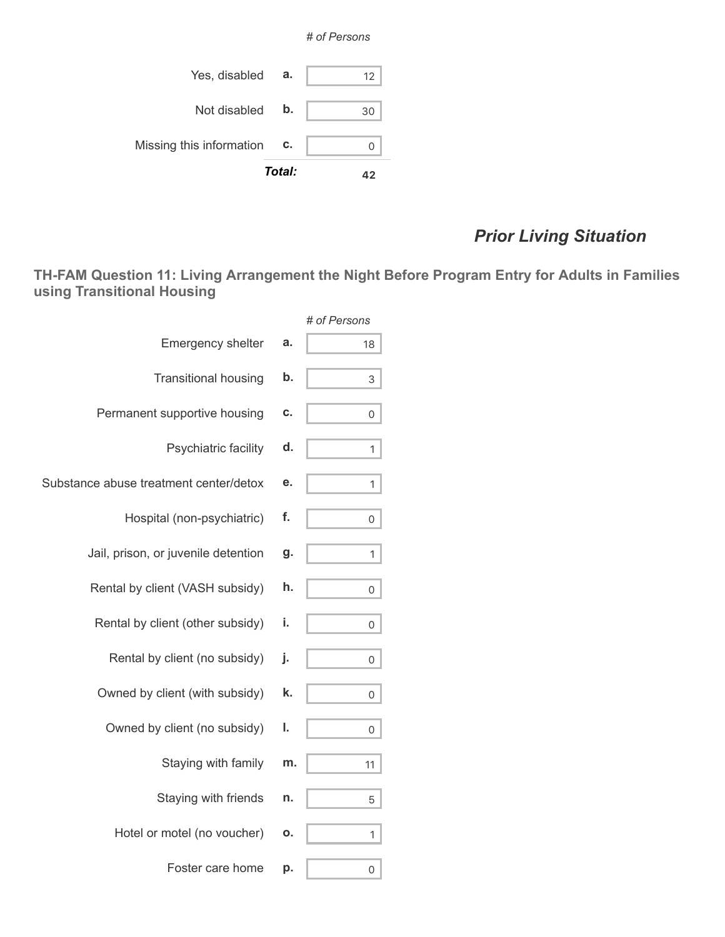



# *Prior Living Situation*

**TH-FAM Question 11: Living Arrangement the Night Before Program Entry for Adults in Families using Transitional Housing**

|                                        |    | # of Persons |
|----------------------------------------|----|--------------|
| Emergency shelter                      | a. | 18           |
| <b>Transitional housing</b>            | b. | 3            |
| Permanent supportive housing           | C. | 0            |
| Psychiatric facility                   | d. | 1            |
| Substance abuse treatment center/detox | е. | 1            |
| Hospital (non-psychiatric)             | f. | 0            |
| Jail, prison, or juvenile detention    | g. | 1            |
| Rental by client (VASH subsidy)        | h. | 0            |
| Rental by client (other subsidy)       | i. | 0            |
| Rental by client (no subsidy)          | j. | 0            |
| Owned by client (with subsidy)         | k. | 0            |
| Owned by client (no subsidy)           | ı. | 0            |
| Staying with family                    | m. | 11           |
| Staying with friends                   | n. | 5            |
| Hotel or motel (no voucher)            | 0. | 1            |
| Foster care home                       | р. | 0            |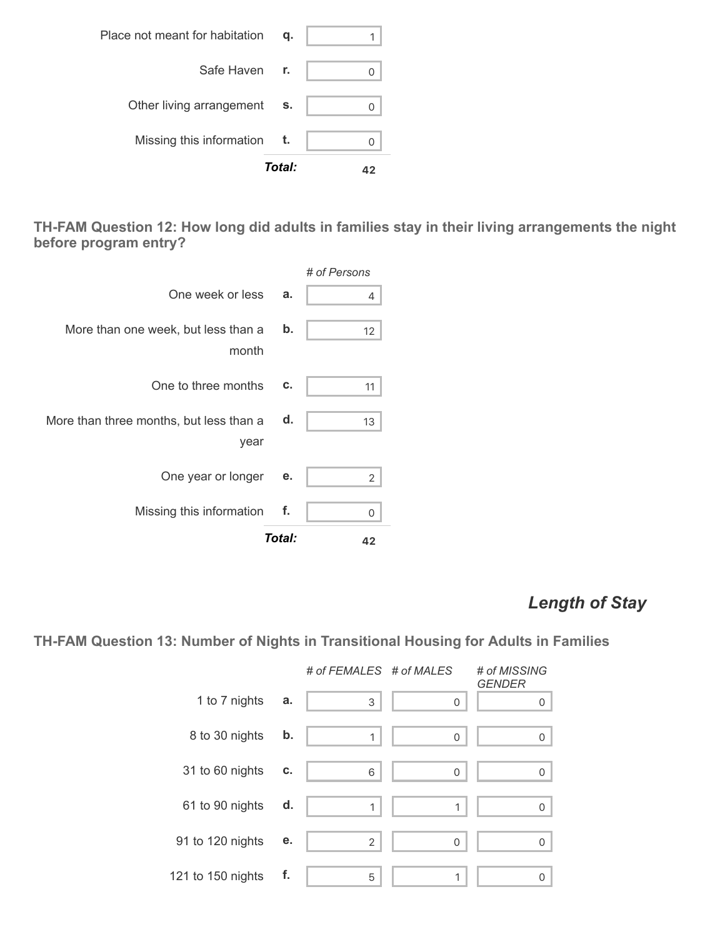|                                | Total: |  |
|--------------------------------|--------|--|
| Missing this information       | t.     |  |
| Other living arrangement       | S.     |  |
| Safe Haven r.                  |        |  |
| Place not meant for habitation | q.     |  |

**TH-FAM Question 12: How long did adults in families stay in their living arrangements the night before program entry?**



### *Length of Stay*

**TH-FAM Question 13: Number of Nights in Transitional Housing for Adults in Families**

|                   |    | # of FEMALES # of MALES |              | # of MISSING<br><b>GENDER</b> |
|-------------------|----|-------------------------|--------------|-------------------------------|
| 1 to 7 nights     | a. | 3                       | $\mathbf 0$  | $\Omega$                      |
| 8 to 30 nights    | b. | 1                       | $\Omega$     | $\Omega$                      |
| 31 to 60 nights   | C. | 6                       | $\Omega$     | $\Omega$                      |
| 61 to 90 nights   | d. | 1                       | 1            | $\Omega$                      |
| 91 to 120 nights  | е. | $\overline{2}$          | $\mathbf{0}$ | $\Omega$                      |
| 121 to 150 nights | f. | 5                       | 1            | $\Omega$                      |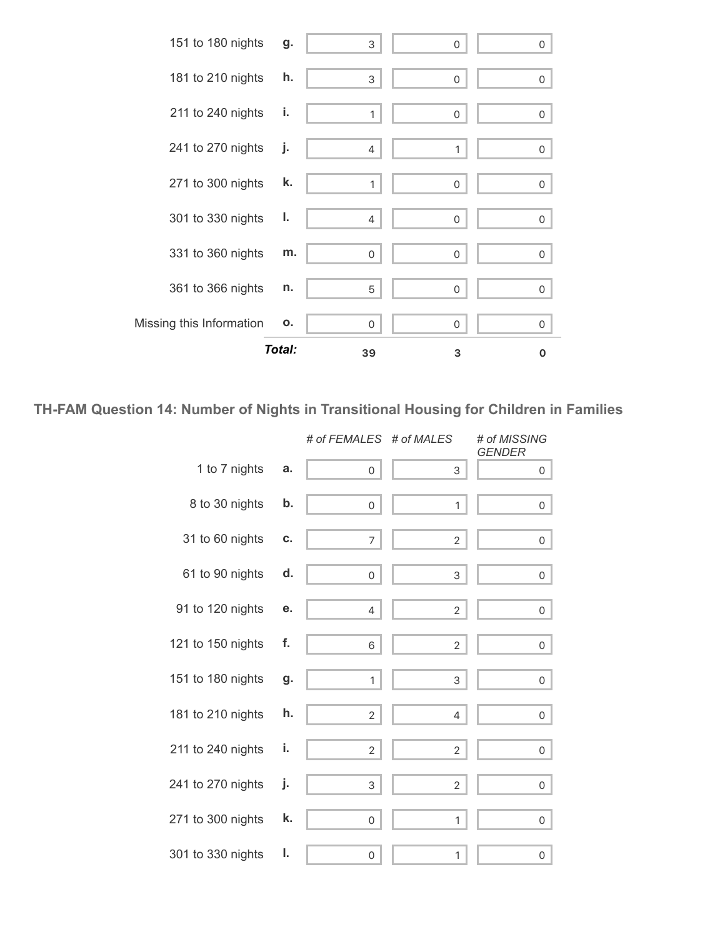

**TH-FAM Question 14: Number of Nights in Transitional Housing for Children in Families**

|                   |    | # of FEMALES # of MALES |                | # of MISSING<br><b>GENDER</b> |
|-------------------|----|-------------------------|----------------|-------------------------------|
| 1 to 7 nights     | a. | $\circ$                 | 3              | 0                             |
| 8 to 30 nights    | b. | 0 <sup>1</sup>          | 1              | 0                             |
| 31 to 60 nights   | C. | 7                       | $\overline{2}$ | 0                             |
| 61 to 90 nights   | d. | 0 <sup>1</sup>          | 3              | 0                             |
| 91 to 120 nights  | е. | 4                       | $\overline{2}$ | 0                             |
| 121 to 150 nights | f. | 6                       | 2              | 0                             |
| 151 to 180 nights | g. | $\mathbf{1}$            | 3              | 0                             |
| 181 to 210 nights | h. | $\overline{2}$          | 4              | 0                             |
| 211 to 240 nights | i. | $\overline{2}$          | $\overline{2}$ | $\mathsf{O}$                  |
| 241 to 270 nights | j. | 3                       | $\overline{2}$ | 0                             |
| 271 to 300 nights | k. | 0                       | 1              | 0                             |
| 301 to 330 nights | ı. | 0                       | 1              | 0                             |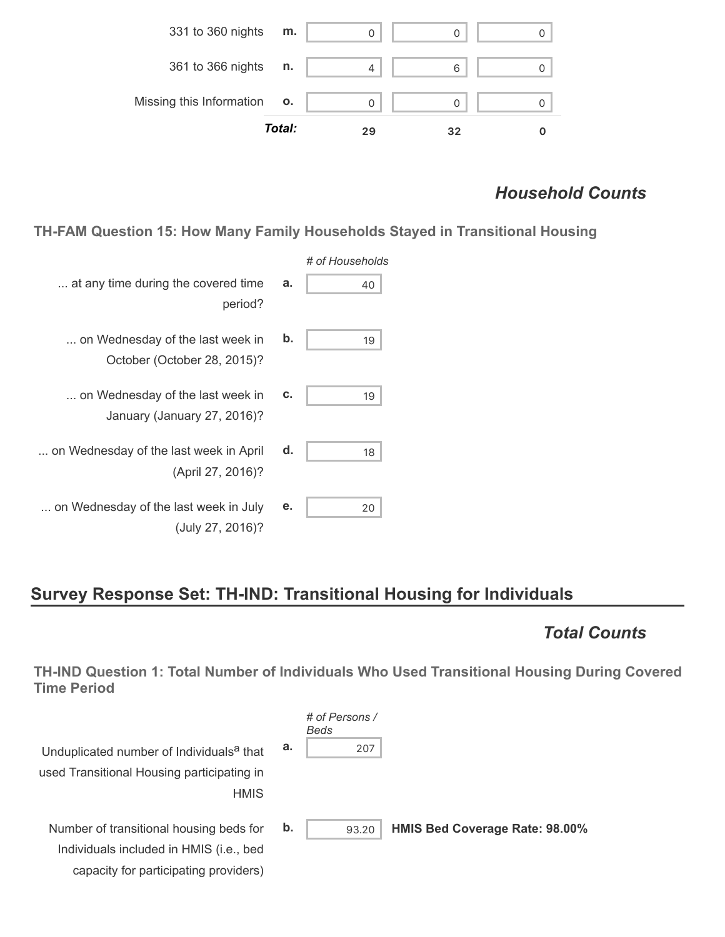

### *Household Counts*

**TH-FAM Question 15: How Many Family Households Stayed in Transitional Housing**

|                                                                 |    | # of Households |
|-----------------------------------------------------------------|----|-----------------|
| at any time during the covered time<br>period?                  | a. | 40              |
| on Wednesday of the last week in<br>October (October 28, 2015)? | b. | 19              |
| on Wednesday of the last week in<br>January (January 27, 2016)? | c. | 19              |
| on Wednesday of the last week in April<br>(April 27, 2016)?     | d. | 18              |
| on Wednesday of the last week in July<br>(July 27, 2016)?       | е. | 20              |

capacity for participating providers)

### **Survey Response Set: TH-IND: Transitional Housing for Individuals**

### *Total Counts*

**TH-IND Question 1: Total Number of Individuals Who Used Transitional Housing During Covered Time Period**

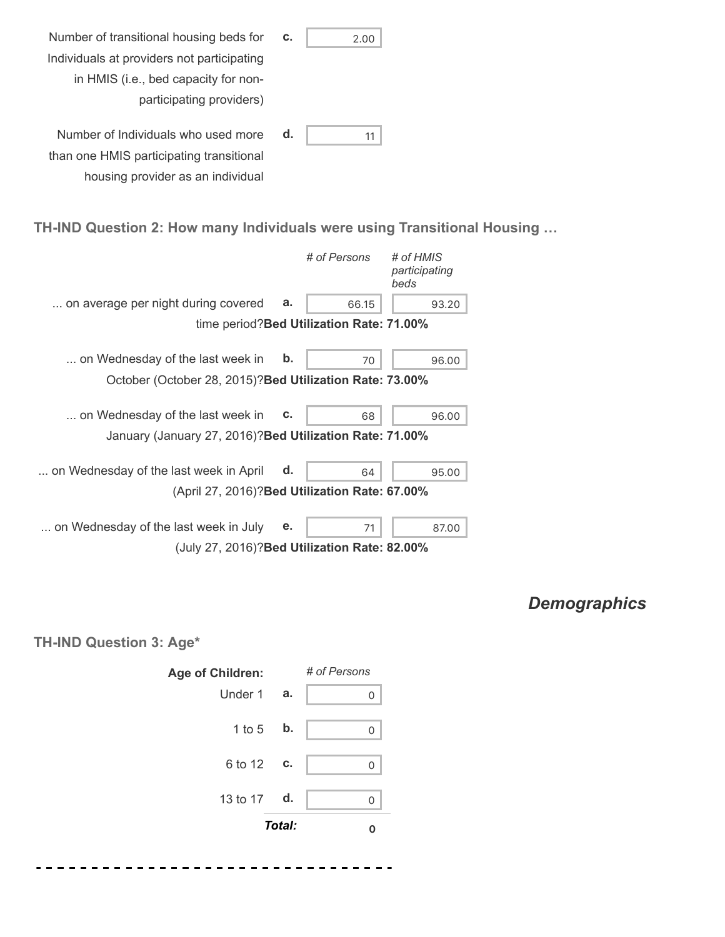| Number of transitional housing beds for    | c. | 2.00 |
|--------------------------------------------|----|------|
| Individuals at providers not participating |    |      |
| in HMIS (i.e., bed capacity for non-       |    |      |
| participating providers)                   |    |      |
| Number of Individuals who used more        | d. | 11   |
| than one HMIS participating transitional   |    |      |
| housing provider as an individual          |    |      |

#### **TH-IND Question 2: How many Individuals were using Transitional Housing …**

|                                                          |    | # of Persons                              | # of HMIS<br>participating<br>beds |
|----------------------------------------------------------|----|-------------------------------------------|------------------------------------|
| on average per night during covered                      | a. | 66.15                                     | 93.20                              |
|                                                          |    | time period? Bed Utilization Rate: 71.00% |                                    |
| on Wednesday of the last week in                         | b. | 70                                        | 96.00                              |
| October (October 28, 2015)? Bed Utilization Rate: 73.00% |    |                                           |                                    |
| on Wednesday of the last week in                         | C. | 68                                        | 96.00                              |
| January (January 27, 2016)? Bed Utilization Rate: 71.00% |    |                                           |                                    |
| on Wednesday of the last week in April                   | d. | 64                                        | 95.00                              |
| (April 27, 2016)? Bed Utilization Rate: 67.00%           |    |                                           |                                    |
| on Wednesday of the last week in July                    | е. | 71                                        | 87.00                              |
| (July 27, 2016)? Bed Utilization Rate: 82.00%            |    |                                           |                                    |

# *Demographics*

### **TH-IND Question 3: Age\***

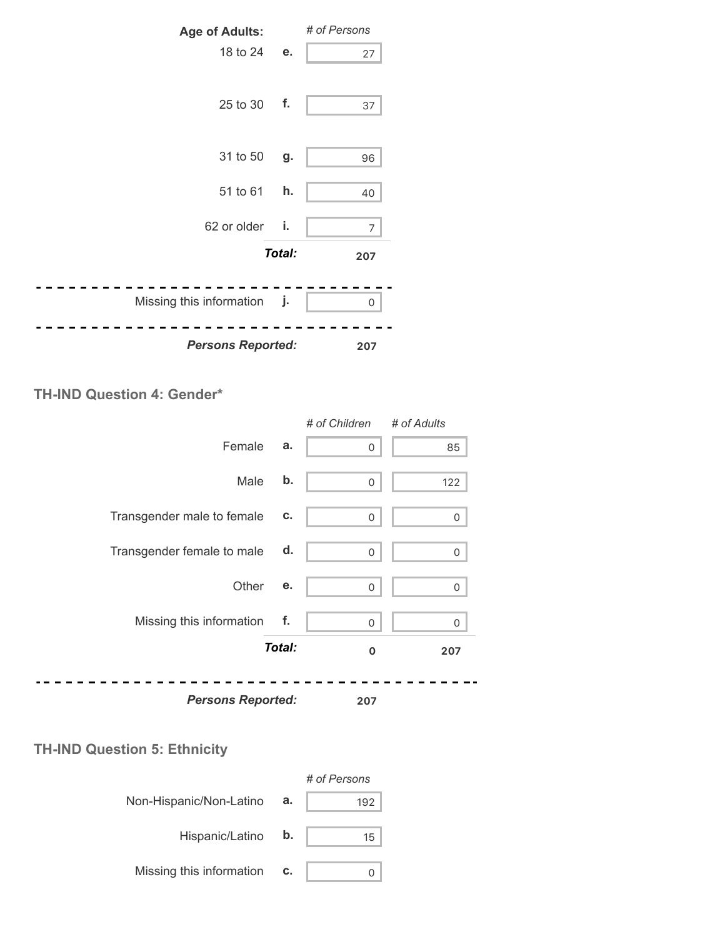

### **TH-IND Question 4: Gender\***

|                            |        | # of Children | # of Adults |
|----------------------------|--------|---------------|-------------|
| Female                     | a.     | 0             | 85          |
| Male                       | b.     | 0             | 122         |
| Transgender male to female | C.     | 0             | 0           |
| Transgender female to male | d.     | 0             | 0           |
| Other                      | е.     | 0             | $\Omega$    |
| Missing this information   | f.     | 0             | 0           |
|                            | Total: | $\mathbf 0$   | 207         |
| <b>Persons Reported:</b>   |        | 207           |             |

### **TH-IND Question 5: Ethnicity**

|                          |    | # of Persons |
|--------------------------|----|--------------|
| Non-Hispanic/Non-Latino  | а. | 192          |
| Hispanic/Latino          | b. | 15           |
| Missing this information | C. |              |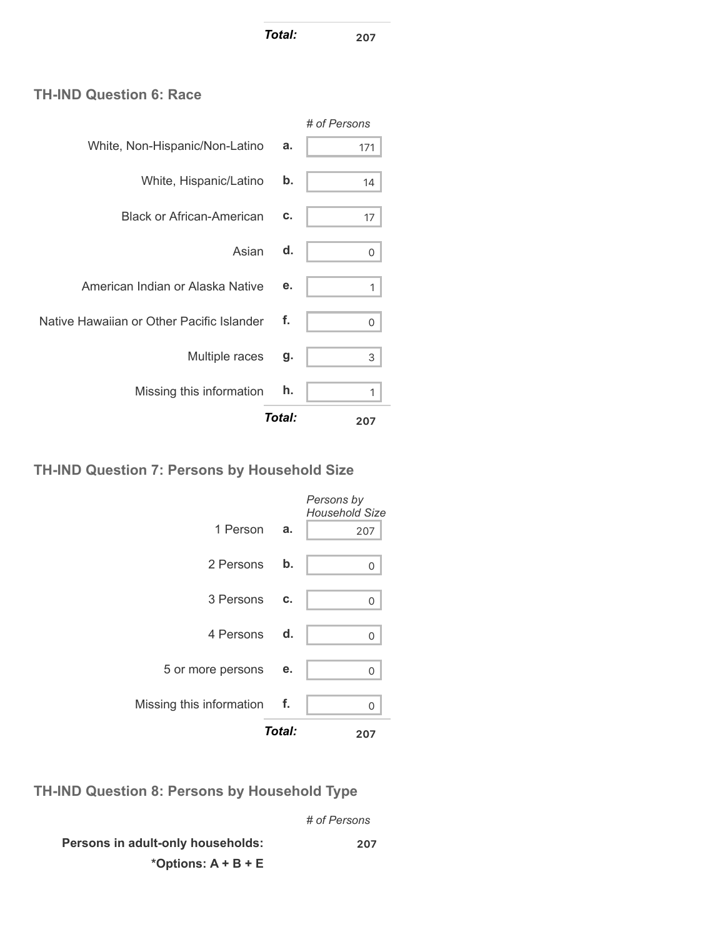*Total:* **<sup>207</sup>**

### **TH-IND Question 6: Race**

| Missing this information                  | h. |              |
|-------------------------------------------|----|--------------|
| Multiple races                            | g. | 3            |
| Native Hawaiian or Other Pacific Islander | f. | 0            |
| American Indian or Alaska Native          | е. | 1            |
| Asian                                     | d. | 0            |
| <b>Black or African-American</b>          | c. | 17           |
| White, Hispanic/Latino                    | b. | 14           |
| White, Non-Hispanic/Non-Latino            | a. | 171          |
|                                           |    | # of Persons |

### **TH-IND Question 7: Persons by Household Size**

|                             | Total: | 207                                 |
|-----------------------------|--------|-------------------------------------|
| Missing this information f. |        | U                                   |
| 5 or more persons           | е.     | 0                                   |
| 4 Persons d.                |        | U                                   |
| 3 Persons c.                |        | O                                   |
| 2 Persons                   | b.     | 0                                   |
| 1 Person                    | а.     | 207                                 |
|                             |        | Persons by<br><b>Household Size</b> |

**TH-IND Question 8: Persons by Household Type**

*# of Persons*

**Persons in adult-only households: \*Options: A + B + E 207**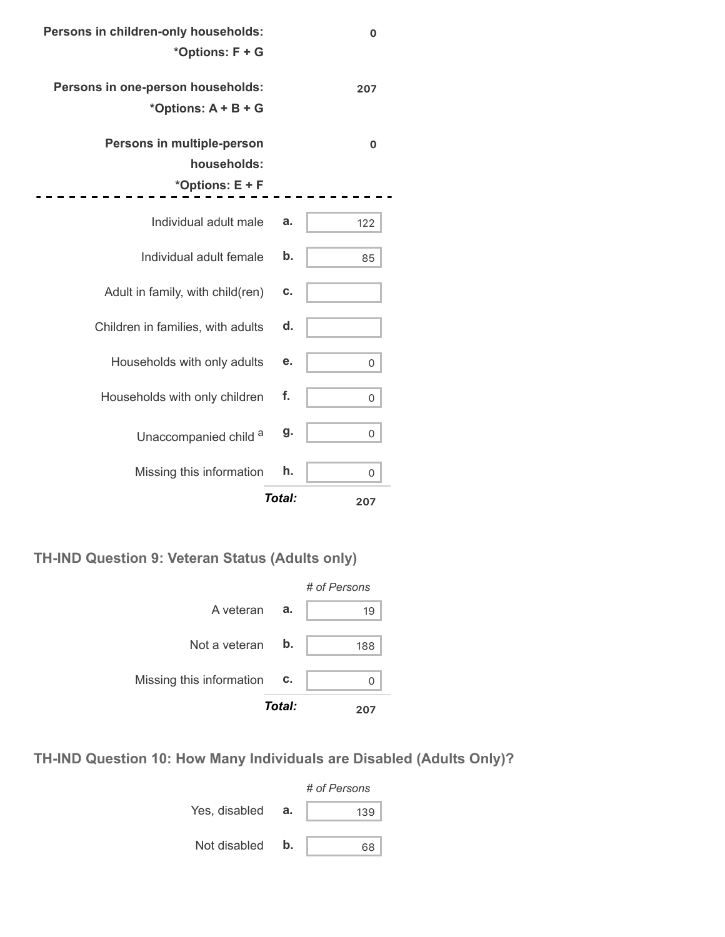| 0   |        | Persons in children-only households:<br>*Options: F + G      |
|-----|--------|--------------------------------------------------------------|
| 207 |        | Persons in one-person households:<br>*Options: $A + B + G$   |
| 0   |        | Persons in multiple-person<br>households:<br>*Options: E + F |
| 122 | a.     | Individual adult male                                        |
| 85  | b.     | Individual adult female                                      |
|     | c.     | Adult in family, with child(ren)                             |
|     | d.     | Children in families, with adults                            |
| 0   | е.     | Households with only adults                                  |
| 0   | f.     | Households with only children                                |
| 0   | g.     | Unaccompanied child a                                        |
| 0   | h.     | Missing this information                                     |
| 207 | Total: |                                                              |

.

**TH-IND Question 9: Veteran Status (Adults only)**



**TH-IND Question 10: How Many Individuals are Disabled (Adults Only)?**

|               |    | # of Persons |  |  |
|---------------|----|--------------|--|--|
| Yes, disabled | а. | 139          |  |  |
| Not disabled  | b. | 68           |  |  |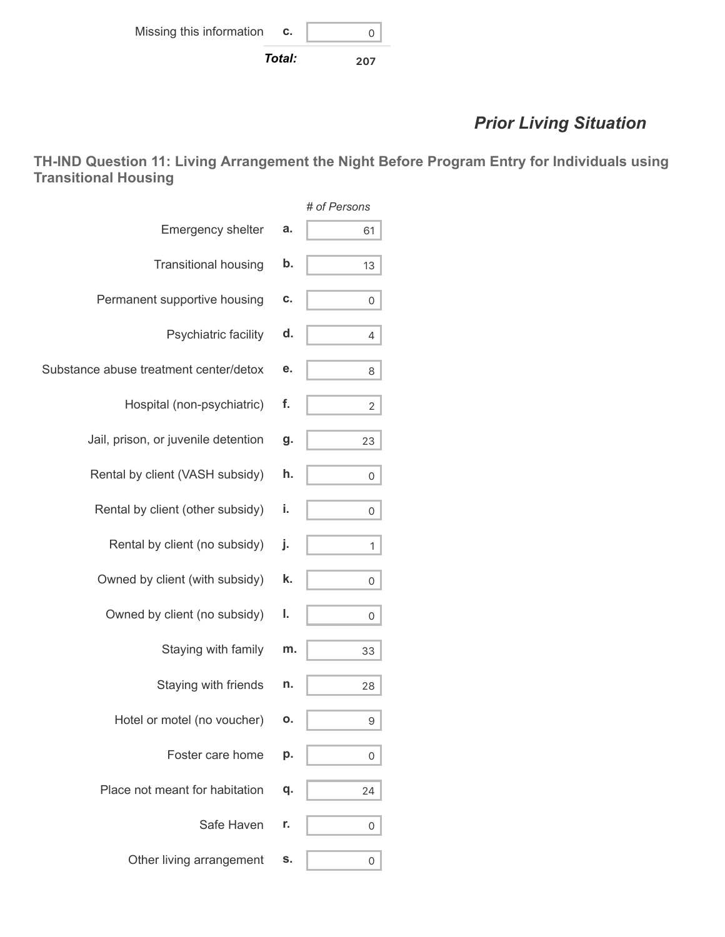# *Prior Living Situation*

**TH-IND Question 11: Living Arrangement the Night Before Program Entry for Individuals using Transitional Housing**

|                                              | # of Persons |
|----------------------------------------------|--------------|
| <b>Emergency shelter</b><br>a.               | 61           |
| <b>Transitional housing</b><br>b.            | 13           |
| Permanent supportive housing<br>c.           | 0            |
| Psychiatric facility<br>d.                   | 4            |
| Substance abuse treatment center/detox<br>е. | 8            |
| f.<br>Hospital (non-psychiatric)             | 2            |
| Jail, prison, or juvenile detention<br>g.    | 23           |
| Rental by client (VASH subsidy)<br>h.        | 0            |
| Rental by client (other subsidy)<br>i.       | 0            |
| Rental by client (no subsidy)<br>j.          | 1            |
| Owned by client (with subsidy)<br>k.         | 0            |
| Owned by client (no subsidy)<br>ı.           | 0            |
| Staying with family<br>m.                    | 33           |
| Staying with friends<br>n.                   | 28           |
| Hotel or motel (no voucher)<br>О.            | 9            |
| Foster care home<br>p.                       | 0            |
| Place not meant for habitation<br>q.         | 24           |
| Safe Haven<br>r.                             | 0            |
| Other living arrangement<br>s.               | 0            |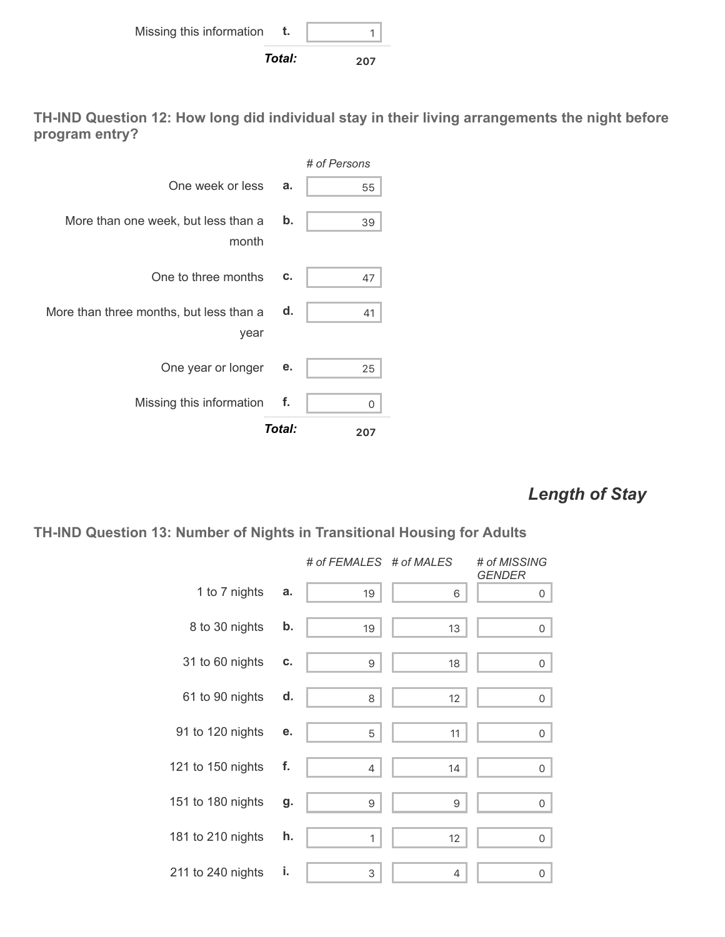

**TH-IND Question 12: How long did individual stay in their living arrangements the night before program entry?**



### *Length of Stay*

#### **TH-IND Question 13: Number of Nights in Transitional Housing for Adults**

|                   |    | # of FEMALES # of MALES |    | # of MISSING<br><b>GENDER</b> |
|-------------------|----|-------------------------|----|-------------------------------|
| 1 to 7 nights     | a. | 19                      | 6  | 0                             |
| 8 to 30 nights    | b. | 19                      | 13 | 0                             |
| 31 to 60 nights   | C. | 9                       | 18 | $\mathsf{O}$                  |
| 61 to 90 nights   | d. | 8                       | 12 | 0                             |
| 91 to 120 nights  | е. | 5                       | 11 | 0                             |
| 121 to 150 nights | f. | $\overline{4}$          | 14 | 0                             |
| 151 to 180 nights | g. | 9                       | 9  | 0                             |
| 181 to 210 nights | h. | 1                       | 12 | 0                             |
| 211 to 240 nights | i. | 3                       | 4  | 0                             |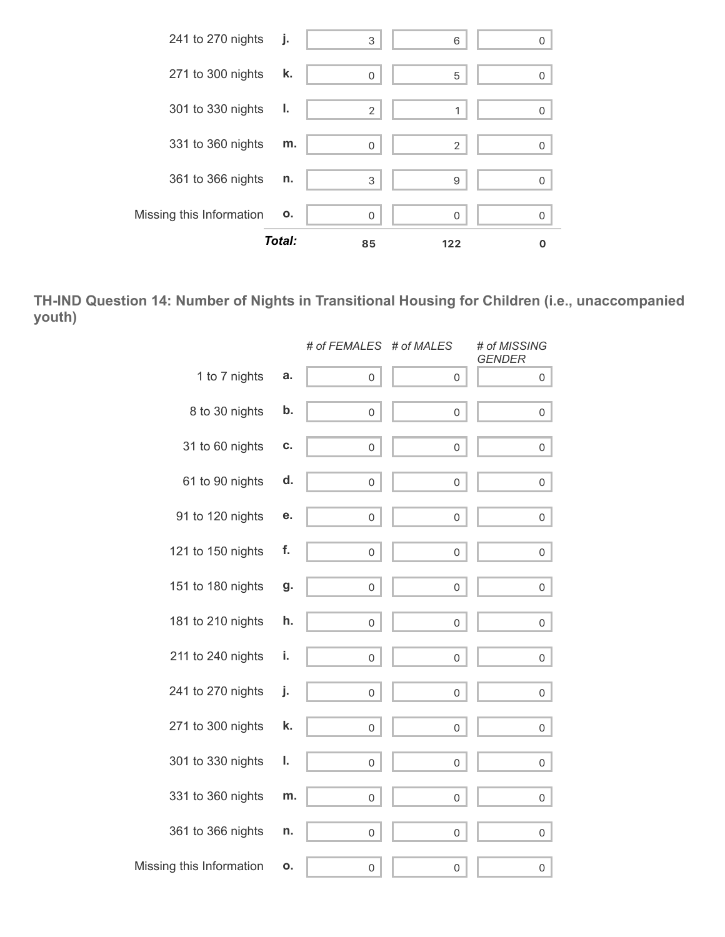

**TH-IND Question 14: Number of Nights in Transitional Housing for Children (i.e., unaccompanied youth)**

|                          |    | # of FEMALES # of MALES |                     | # of MISSING<br><b>GENDER</b> |
|--------------------------|----|-------------------------|---------------------|-------------------------------|
| 1 to 7 nights            | a. | $\mathsf{O}\xspace$     | 0                   | 0                             |
| 8 to 30 nights           | b. | 0                       | 0                   | 0                             |
| 31 to 60 nights          | С. | 0                       | 0                   | 0                             |
| 61 to 90 nights          | d. | 0                       | $\mathbf 0$         | 0                             |
| 91 to 120 nights         | е. | $\mathsf{O}\xspace$     | $\mathbf 0$         | 0                             |
| 121 to 150 nights        | f. | 0                       | $\mathbf 0$         | 0                             |
| 151 to 180 nights        | g. | 0                       | 0                   | $\overline{0}$                |
| 181 to 210 nights        | h. | 0                       | 0                   | 0                             |
| 211 to 240 nights        | i. | 0                       | 0                   | 0                             |
| 241 to 270 nights        | j. | 0                       | 0                   | 0                             |
| 271 to 300 nights        | k. | 0                       | $\mathsf{O}\xspace$ | 0                             |
| 301 to 330 nights        | ı. | 0                       | $\mathbf 0$         | 0                             |
| 331 to 360 nights        | m. | 0                       | $\mathbf 0$         | 0                             |
| 361 to 366 nights        | n. | $\mathsf{O}\xspace$     | 0                   | 0                             |
| Missing this Information | ο. | 0                       | 0                   | 0                             |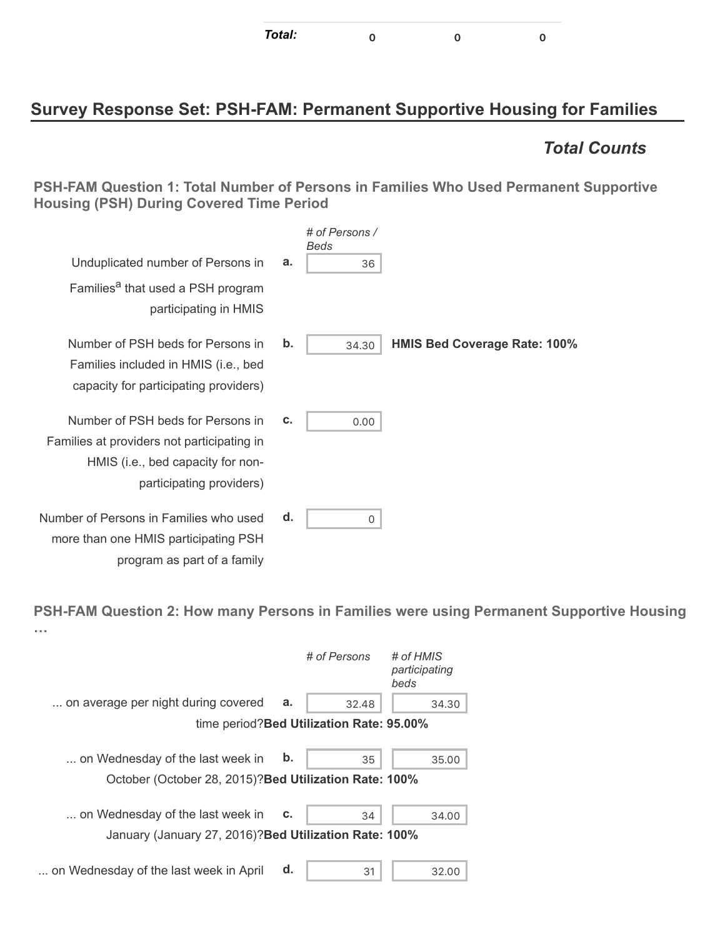| Total: |  |  |  |
|--------|--|--|--|
|--------|--|--|--|

### **Survey Response Set: PSH-FAM: Permanent Supportive Housing for Families**

### *Total Counts*

**PSH-FAM Question 1: Total Number of Persons in Families Who Used Permanent Supportive Housing (PSH) During Covered Time Period**

|                                     | # of Persons /<br>Beds |    |                                                                                                                                                  |
|-------------------------------------|------------------------|----|--------------------------------------------------------------------------------------------------------------------------------------------------|
|                                     | 36                     | a. | Unduplicated number of Persons in                                                                                                                |
|                                     |                        |    | Families <sup>a</sup> that used a PSH program<br>participating in HMIS                                                                           |
| <b>HMIS Bed Coverage Rate: 100%</b> | 34.30                  | b. | Number of PSH beds for Persons in<br>Families included in HMIS (i.e., bed<br>capacity for participating providers)                               |
|                                     | 0.00                   | c. | Number of PSH beds for Persons in<br>Families at providers not participating in<br>HMIS (i.e., bed capacity for non-<br>participating providers) |
|                                     | 0                      | d. | Number of Persons in Families who used<br>more than one HMIS participating PSH                                                                   |

**PSH-FAM Question 2: How many Persons in Families were using Permanent Supportive Housing …**

|                                                                                            |    | # of Persons                              | # of HMIS<br>participating<br>beds |
|--------------------------------------------------------------------------------------------|----|-------------------------------------------|------------------------------------|
| on average per night during covered                                                        | a. | 32.48                                     | 34.30                              |
|                                                                                            |    | time period? Bed Utilization Rate: 95.00% |                                    |
| on Wednesday of the last week in<br>October (October 28, 2015)? Bed Utilization Rate: 100% | b. | 35                                        | 35.00                              |
| on Wednesday of the last week in                                                           | C. | 34                                        | 34.00                              |
| January (January 27, 2016)? Bed Utilization Rate: 100%                                     |    |                                           |                                    |
| on Wednesday of the last week in April                                                     | d. | 31                                        | 32.00                              |

program as part of a family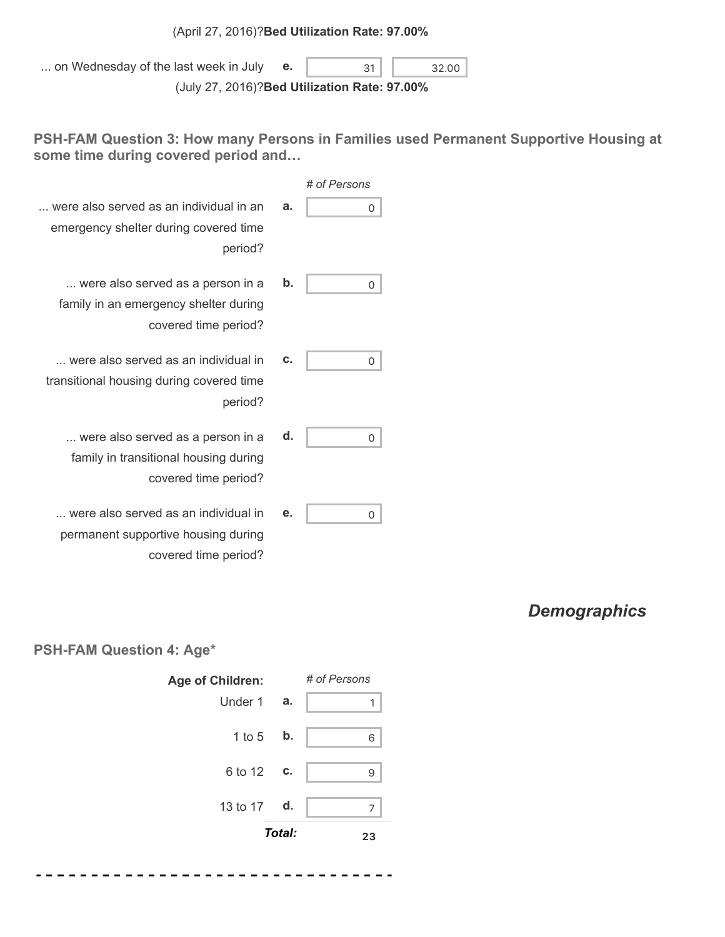#### (April 27, 2016)?**Bed Utilization Rate: 97.00%**

| on Wednesday of the last week in July         | 31 | 32.00 |
|-----------------------------------------------|----|-------|
| (July 27, 2016)? Bed Utilization Rate: 97.00% |    |       |

**PSH-FAM Question 3: How many Persons in Families used Permanent Supportive Housing at some time during covered period and…**

| # of Persons |    |                                                                                                    |
|--------------|----|----------------------------------------------------------------------------------------------------|
| Ω            | а. | were also served as an individual in an<br>emergency shelter during covered time<br>period?        |
| 0            | b. | were also served as a person in a<br>family in an emergency shelter during<br>covered time period? |
| 0            | C. | were also served as an individual in<br>transitional housing during covered time<br>period?        |
| 0            | d. | were also served as a person in a<br>family in transitional housing during<br>covered time period? |
| 0            | е. | were also served as an individual in                                                               |

*Demographics*

#### **PSH-FAM Question 4: Age\***

permanent supportive housing during

covered time period?



--------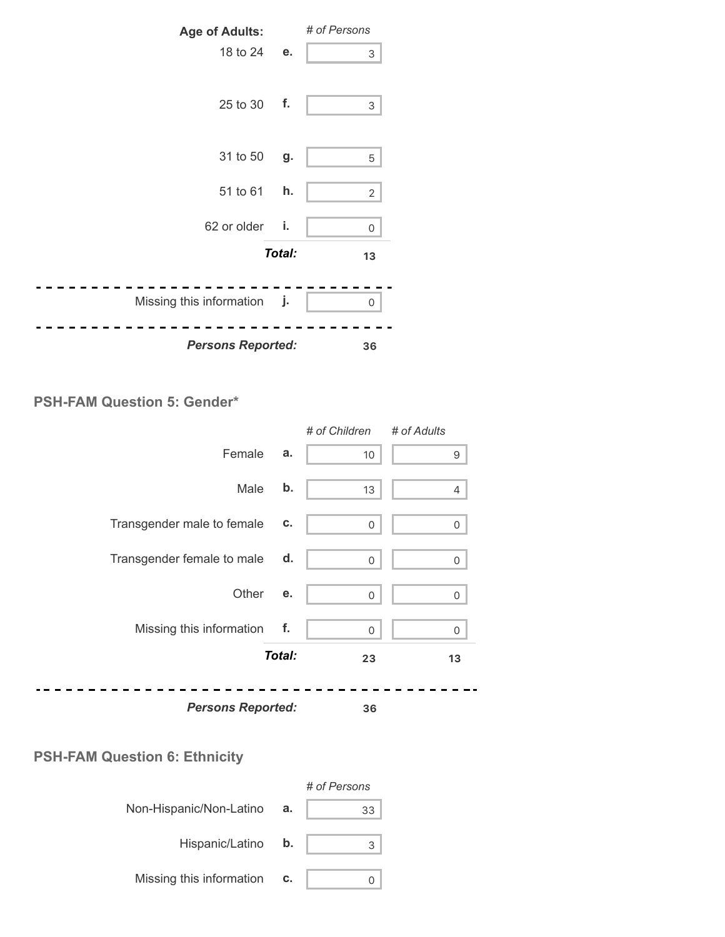

#### **PSH-FAM Question 5: Gender\***

|                            |        | # of Children | # of Adults |
|----------------------------|--------|---------------|-------------|
| Female                     | a.     | 10            | 9           |
| Male                       | b.     | 13            | 4           |
| Transgender male to female | c.     | 0             | 0           |
| Transgender female to male | d.     | $\mathbf 0$   | $\Omega$    |
| Other                      | е.     | 0             | $\Omega$    |
| Missing this information   | f.     | $\mathbf 0$   | $\Omega$    |
|                            | Total: | 23            | 13          |
| <b>Persons Reported:</b>   |        | 36            |             |

### **PSH-FAM Question 6: Ethnicity**

|                           |    | # of Persons |
|---------------------------|----|--------------|
| Non-Hispanic/Non-Latino   | а. | 33           |
| Hispanic/Latino <b>b.</b> |    |              |
| Missing this information  | c. |              |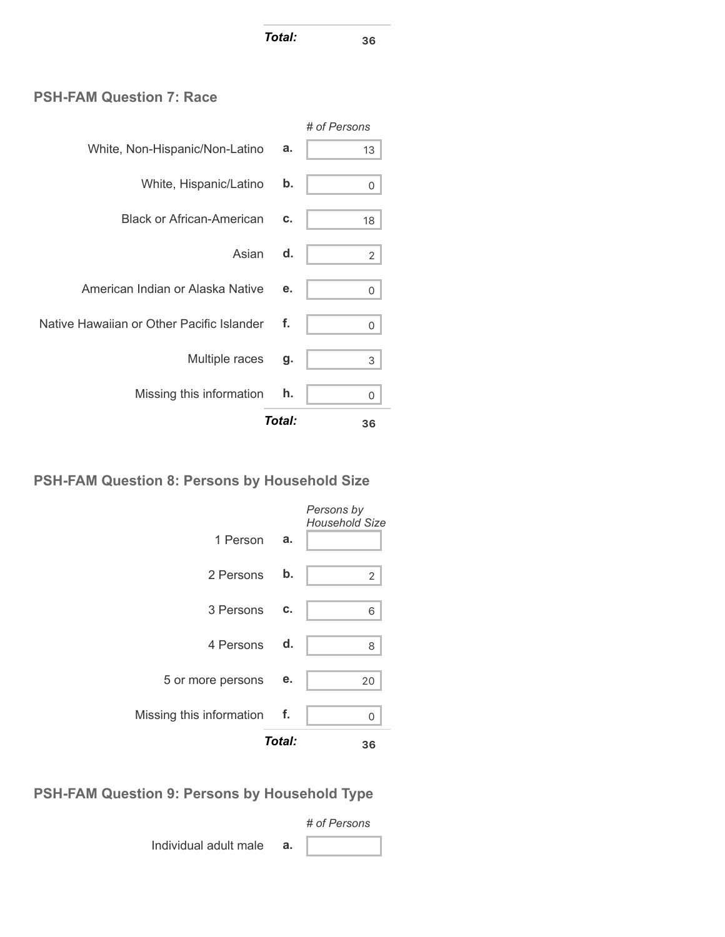*Total:* **<sup>36</sup>**

#### **PSH-FAM Question 7: Race**

|                                           |        | # of Persons   |
|-------------------------------------------|--------|----------------|
| White, Non-Hispanic/Non-Latino            | a.     | 13             |
| White, Hispanic/Latino                    | b.     | 0              |
| <b>Black or African-American</b>          | c.     | 18             |
| Asian                                     | d.     | $\overline{2}$ |
| American Indian or Alaska Native          | е.     | 0              |
| Native Hawaiian or Other Pacific Islander | f.     | 0              |
| Multiple races                            | g.     | 3              |
| Missing this information                  | h.     | 0              |
|                                           | Total: | 36             |

#### **PSH-FAM Question 8: Persons by Household Size**



### **PSH-FAM Question 9: Persons by Household Type**

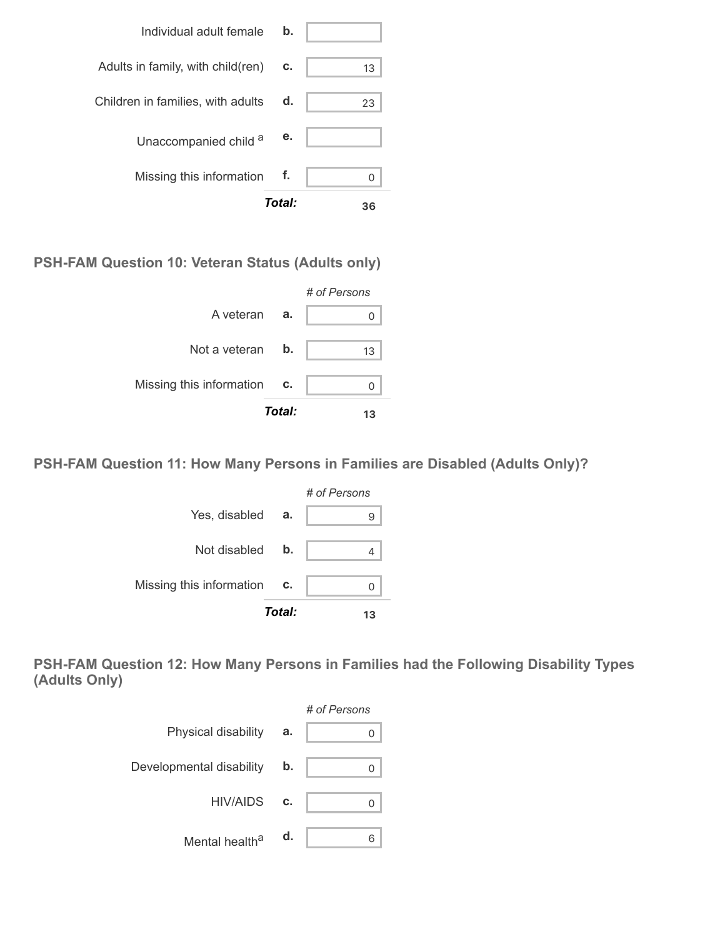

**PSH-FAM Question 10: Veteran Status (Adults only)**



**PSH-FAM Question 11: How Many Persons in Families are Disabled (Adults Only)?**



**PSH-FAM Question 12: How Many Persons in Families had the Following Disability Types (Adults Only)**

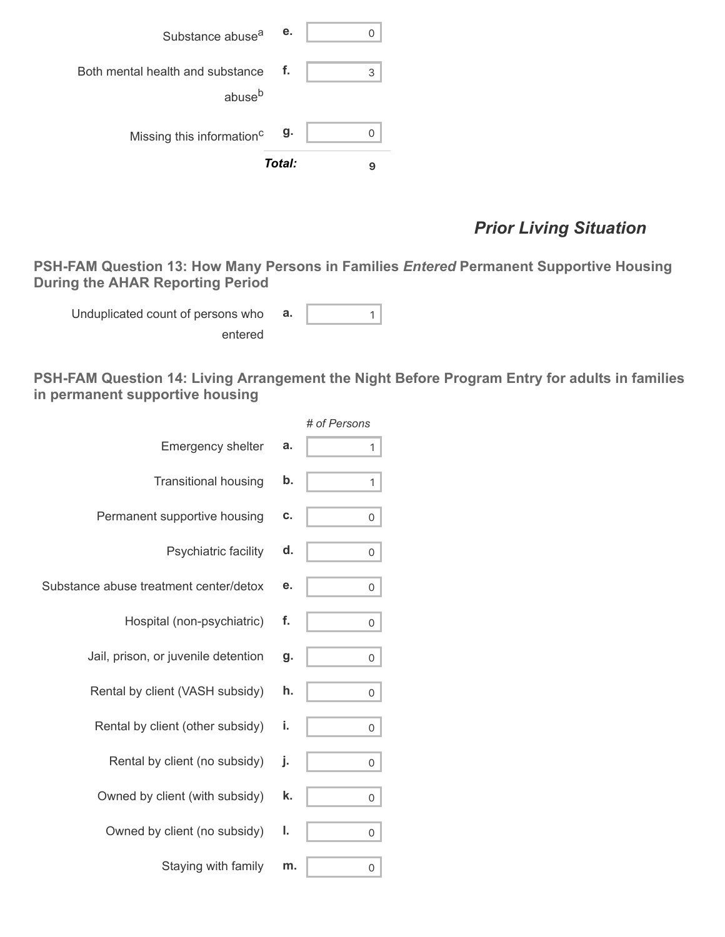| Substance abuse <sup>a</sup>                           | е.     |   |
|--------------------------------------------------------|--------|---|
| Both mental health and substance<br>abuse <sup>b</sup> | f.     | 3 |
| Missing this information <sup>c</sup>                  | g.     |   |
|                                                        | Total: |   |

# *Prior Living Situation*

**PSH-FAM Question 13: How Many Persons in Families** *Entered* **Permanent Supportive Housing During the AHAR Reporting Period**

Unduplicated count of persons who entered

**a.**  $\begin{vmatrix} 1 \\ 1 \end{vmatrix}$ 

**PSH-FAM Question 14: Living Arrangement the Night Before Program Entry for adults in families in permanent supportive housing**

|                                        |    | # of Persons |
|----------------------------------------|----|--------------|
| <b>Emergency shelter</b>               | a. | 1            |
| <b>Transitional housing</b>            | b. | 1            |
| Permanent supportive housing           | c. | 0            |
| Psychiatric facility                   | d. | 0            |
| Substance abuse treatment center/detox | е. | 0            |
| Hospital (non-psychiatric)             | f. | 0            |
| Jail, prison, or juvenile detention    | g. | 0            |
| Rental by client (VASH subsidy)        | h. | 0            |
| Rental by client (other subsidy)       | i. | 0            |
| Rental by client (no subsidy)          | j. | 0            |
| Owned by client (with subsidy)         | k. | 0            |
| Owned by client (no subsidy)           | ı. | 0            |
| Staying with family                    | m. | 0            |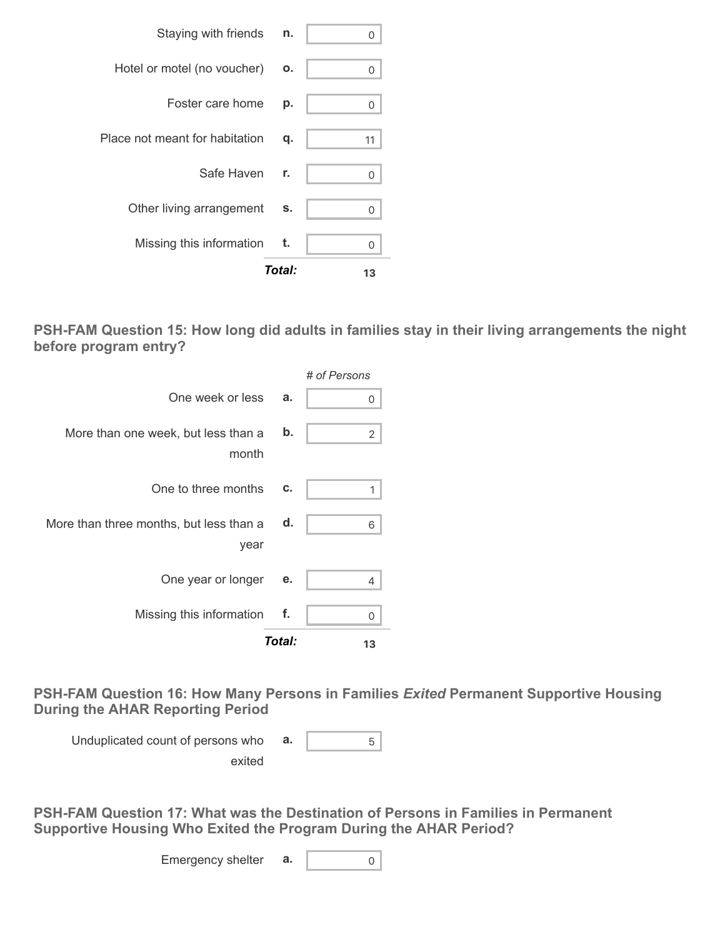|                                | Total: | 13 |
|--------------------------------|--------|----|
| Missing this information       | t.     | U  |
| Other living arrangement       | s.     | O  |
| Safe Haven                     | r.     | 0  |
| Place not meant for habitation | q.     | 11 |
| Foster care home               | р.     | 0  |
| Hotel or motel (no voucher)    | Ο.     | 0  |
| Staying with friends           | n.     |    |

**PSH-FAM Question 15: How long did adults in families stay in their living arrangements the night before program entry?**

|                                                 |        | # of Persons |
|-------------------------------------------------|--------|--------------|
| One week or less                                | a.     | 0            |
| More than one week, but less than a<br>month    | b.     | 2            |
| One to three months                             | c.     | 1            |
| More than three months, but less than a<br>year | d.     | 6            |
| One year or longer                              | е.     | 4            |
| Missing this information                        | f.     | 0            |
|                                                 | Total: | 13           |

**PSH-FAM Question 16: How Many Persons in Families** *Exited* **Permanent Supportive Housing During the AHAR Reporting Period**

Unduplicated count of persons who exited **a.** 5

**PSH-FAM Question 17: What was the Destination of Persons in Families in Permanent Supportive Housing Who Exited the Program During the AHAR Period?**

Emergency shelter  $\mathbf{a}$ .  $\begin{bmatrix} 0 \\ 0 \end{bmatrix}$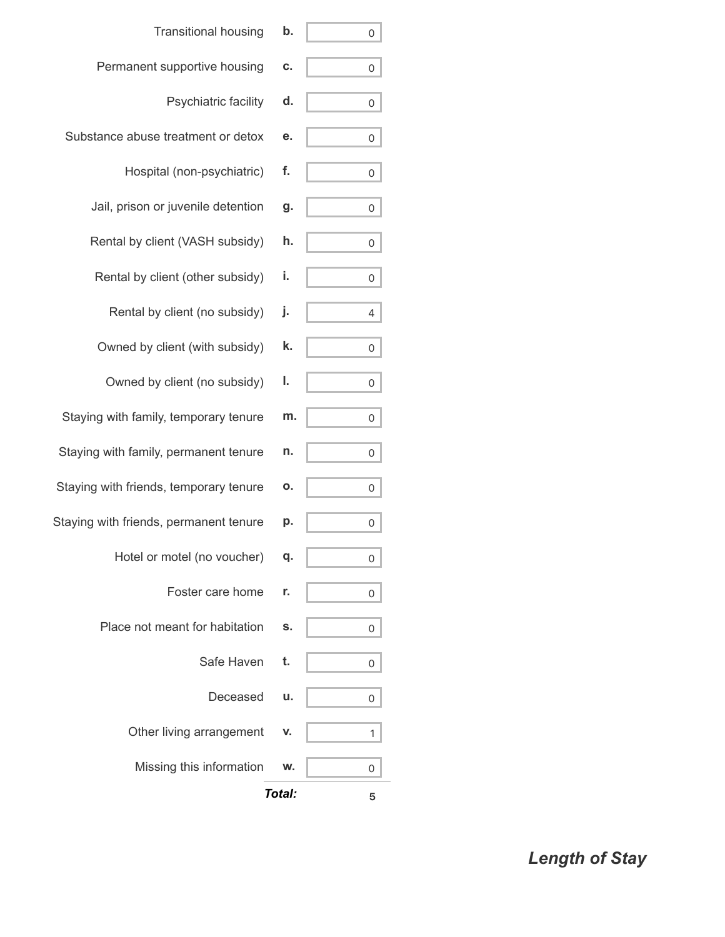| <b>Transitional housing</b>            | b.     | 0 |
|----------------------------------------|--------|---|
| Permanent supportive housing           | c.     | 0 |
| Psychiatric facility                   | d.     | 0 |
| Substance abuse treatment or detox     | е.     | 0 |
| Hospital (non-psychiatric)             | f.     | 0 |
| Jail, prison or juvenile detention     | g.     | 0 |
| Rental by client (VASH subsidy)        | h.     | 0 |
| Rental by client (other subsidy)       | i.     | 0 |
| Rental by client (no subsidy)          | j.     | 4 |
| Owned by client (with subsidy)         | k.     | 0 |
| Owned by client (no subsidy)           | ı.     | 0 |
| Staying with family, temporary tenure  | m.     | 0 |
| Staying with family, permanent tenure  | n.     | 0 |
| Staying with friends, temporary tenure | Ο.     | 0 |
| Staying with friends, permanent tenure | р.     | 0 |
| Hotel or motel (no voucher)            | q.     | 0 |
| Foster care home                       | r.     | 0 |
| Place not meant for habitation         | S.     | 0 |
| Safe Haven                             | t.     | 0 |
| Deceased                               | u.     | 0 |
| Other living arrangement               | v.     | 1 |
| Missing this information               | w.     | 0 |
|                                        | Total: | 5 |

*Length of Stay*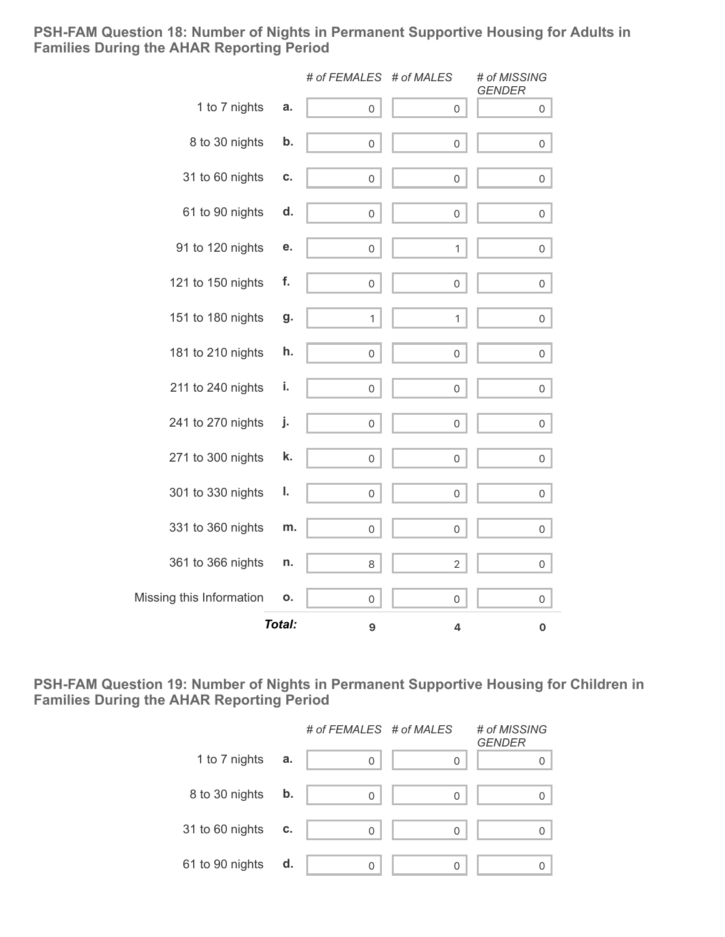#### **PSH-FAM Question 18: Number of Nights in Permanent Supportive Housing for Adults in Families During the AHAR Reporting Period**

|                          |               | # of FEMALES # of MALES |                     | # of MISSING<br><b>GENDER</b> |
|--------------------------|---------------|-------------------------|---------------------|-------------------------------|
| 1 to 7 nights            | a.            | 0                       | 0                   | 0                             |
| 8 to 30 nights           | b.            | 0                       | $\mathsf{O}\xspace$ | 0                             |
| 31 to 60 nights          | C.            | $\mathsf{O}\xspace$     | $\mathsf{O}\xspace$ | $\mathsf{O}\xspace$           |
| 61 to 90 nights          | d.            | $\mathsf{O}\xspace$     | $\mathsf{O}\xspace$ | 0                             |
| 91 to 120 nights         | е.            | $\mathsf{O}\xspace$     | $\mathbf{1}$        | 0                             |
| 121 to 150 nights        | f.            | 0                       | $\mathbf 0$         | 0                             |
| 151 to 180 nights        | g.            | $\mathbf{1}$            | $\mathbf{1}$        | 0                             |
| 181 to 210 nights        | h.            | 0                       | 0                   | 0                             |
| 211 to 240 nights        | i.            | 0                       | 0                   | 0                             |
| 241 to 270 nights        | j.            | $\mathsf{O}\xspace$     | 0                   | 0                             |
| 271 to 300 nights        | k.            | $\mathsf{O}\xspace$     | $\mathsf{O}\xspace$ | $\mathsf{O}\xspace$           |
| 301 to 330 nights        | ı.            | $\mathsf{O}\xspace$     | $\mathsf{O}\xspace$ | 0                             |
| 331 to 360 nights        | m.            | 0                       | 0                   | 0                             |
| 361 to 366 nights        | n.            | 8                       | $\overline{2}$      | 0                             |
| Missing this Information | о.            | 0                       | 0                   | 0                             |
|                          | <b>Total:</b> | 9                       | 4                   | 0                             |

**PSH-FAM Question 19: Number of Nights in Permanent Supportive Housing for Children in Families During the AHAR Reporting Period**

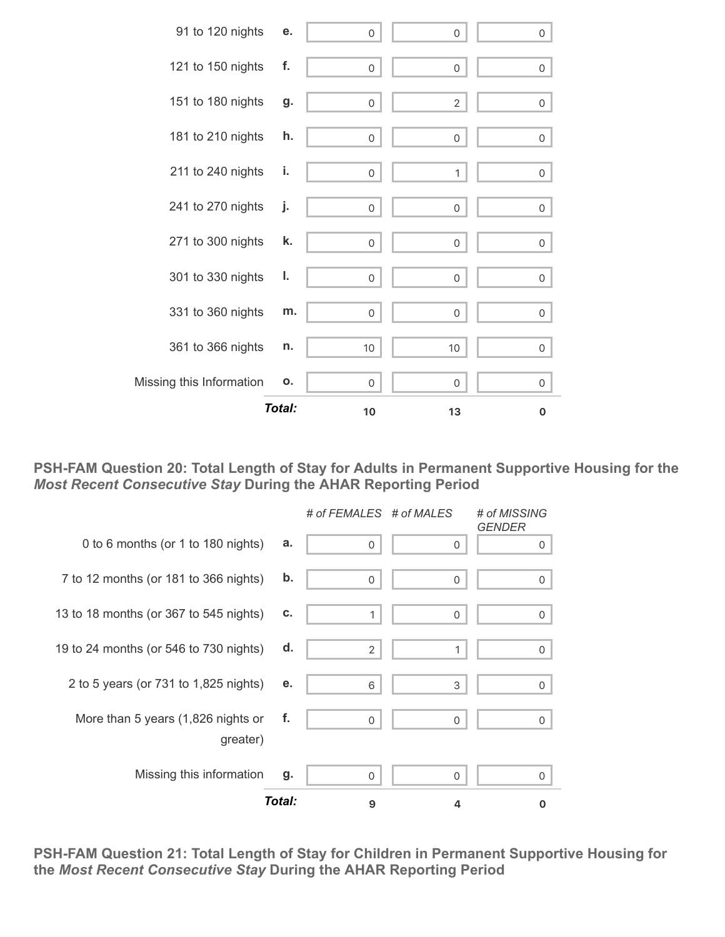|                          | Total: | 10                  | 13                  | 0              |
|--------------------------|--------|---------------------|---------------------|----------------|
| Missing this Information | О.     | 0                   | 0                   | 0              |
| 361 to 366 nights        | n.     | 10                  | 10                  | 0              |
| 331 to 360 nights        | m.     | $\mathsf{O}\xspace$ | $\mathsf{O}\xspace$ | $\overline{0}$ |
| 301 to 330 nights        | ı.     | 0                   | 0                   | 0              |
| 271 to 300 nights        | k.     | 0                   | $\mathsf{O}\xspace$ | 0              |
| 241 to 270 nights        | j.     | $\mathbf 0$         | 0                   | 0              |
| 211 to 240 nights        | i.     | 0                   | 1                   | 0              |
| 181 to 210 nights        | h.     | 0                   | 0                   | 0              |
| 151 to 180 nights        | g.     | 0                   | 2                   | 0              |
| 121 to 150 nights        | f.     | 0                   | 0                   | 0              |
| 91 to 120 nights         | е.     | $\overline{0}$      | 0                   | 0              |

**PSH-FAM Question 20: Total Length of Stay for Adults in Permanent Supportive Housing for the** *Most Recent Consecutive Stay* **During the AHAR Reporting Period**

|                                                |        | # of FEMALES # of MALES |          | # of MISSING<br><b>GENDER</b> |
|------------------------------------------------|--------|-------------------------|----------|-------------------------------|
| 0 to 6 months (or 1 to 180 nights)             | a.     | $\Omega$                | 0        | 0                             |
| 7 to 12 months (or 181 to 366 nights)          | b.     | $\Omega$                | 0        | 0                             |
| 13 to 18 months (or 367 to 545 nights)         | c.     | 1                       | $\Omega$ | 0                             |
| 19 to 24 months (or 546 to 730 nights)         | d.     | $\overline{2}$          |          | $\Omega$                      |
| 2 to 5 years (or 731 to 1,825 nights)          | е.     | 6                       | 3        | 0                             |
| More than 5 years (1,826 nights or<br>greater) | f.     | $\Omega$                | 0        | $\mathbf 0$                   |
| Missing this information                       | g.     | 0                       | 0        | $\Omega$                      |
|                                                | Total: | 9                       | 4        | O                             |

**PSH-FAM Question 21: Total Length of Stay for Children in Permanent Supportive Housing for the** *Most Recent Consecutive Stay* **During the AHAR Reporting Period**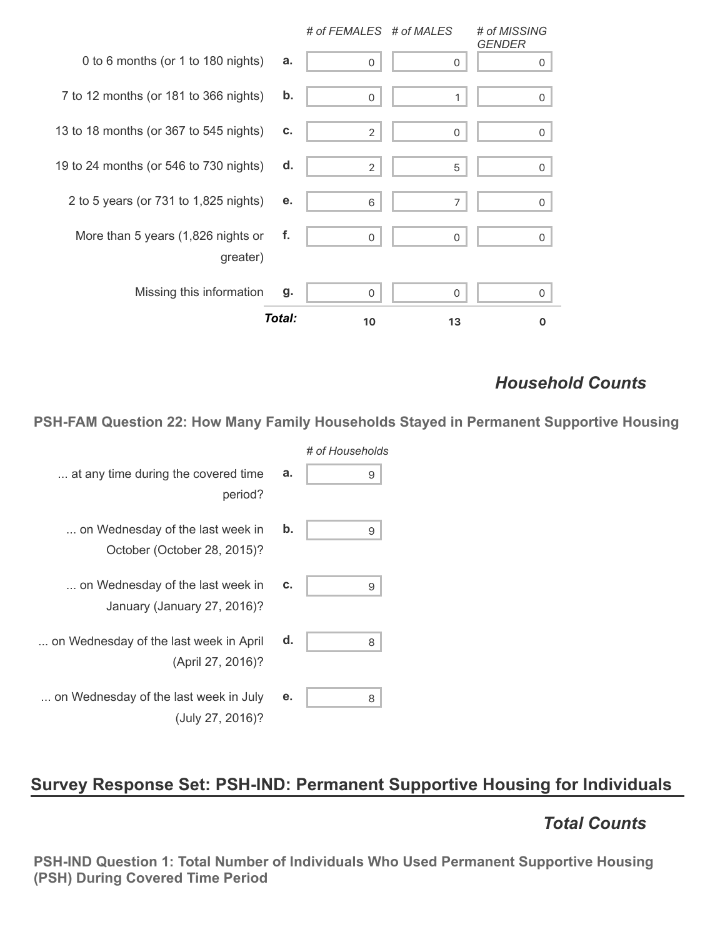|                                                |        | # of FEMALES # of MALES |          | # of MISSING<br><b>GENDER</b> |
|------------------------------------------------|--------|-------------------------|----------|-------------------------------|
| 0 to 6 months (or 1 to 180 nights)             | a.     | $\Omega$                |          | 0                             |
| 7 to 12 months (or 181 to 366 nights)          | b.     | 0                       | 1        | 0                             |
| 13 to 18 months (or 367 to 545 nights)         | C.     | 2                       | $\Omega$ | 0                             |
| 19 to 24 months (or 546 to 730 nights)         | d.     | 2                       | 5        | 0                             |
| 2 to 5 years (or 731 to 1,825 nights)          | е.     | 6                       | 7        | 0                             |
| More than 5 years (1,826 nights or<br>greater) | f.     | $\Omega$                | $\Omega$ | 0                             |
| Missing this information                       | g.     | 0                       | 0        | 0                             |
|                                                | Total: | 10                      | 13       |                               |

### *Household Counts*

**PSH-FAM Question 22: How Many Family Households Stayed in Permanent Supportive Housing**

| # of Households |    |                                                                 |
|-----------------|----|-----------------------------------------------------------------|
| 9               | a. | at any time during the covered time<br>period?                  |
| 9               | b. | on Wednesday of the last week in<br>October (October 28, 2015)? |
| 9               | c. | on Wednesday of the last week in<br>January (January 27, 2016)? |
| 8               | d. | on Wednesday of the last week in April<br>(April 27, 2016)?     |
| 8               | е. | on Wednesday of the last week in July<br>(July 27, 2016)?       |

# **Survey Response Set: PSH-IND: Permanent Supportive Housing for Individuals**

### *Total Counts*

**PSH-IND Question 1: Total Number of Individuals Who Used Permanent Supportive Housing (PSH) During Covered Time Period**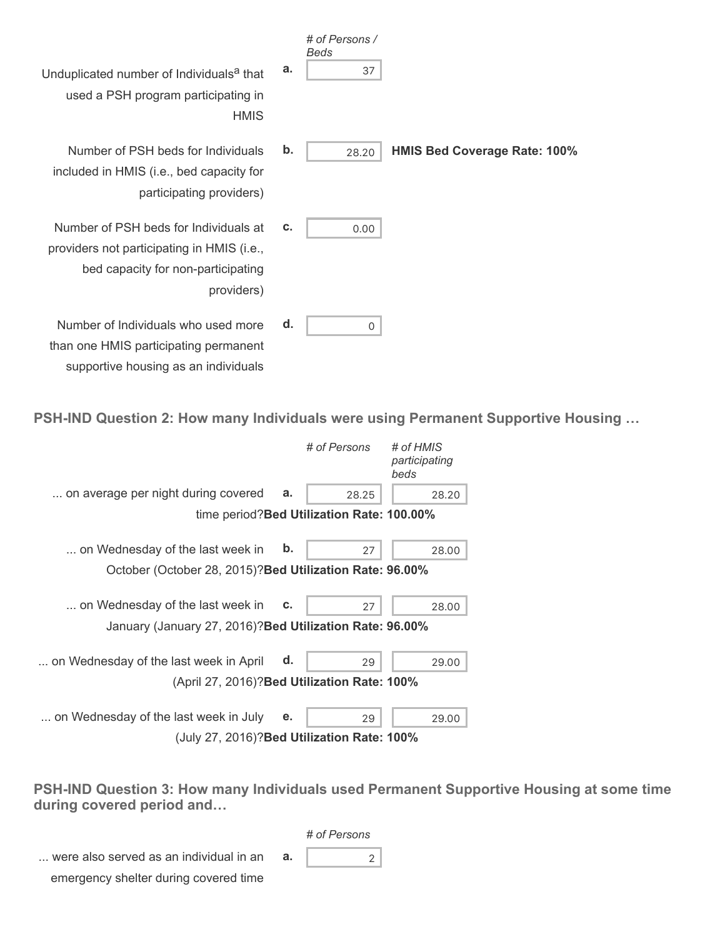|                                                                                                                                         |               | # of Persons /<br>Beds |                                     |
|-----------------------------------------------------------------------------------------------------------------------------------------|---------------|------------------------|-------------------------------------|
| Unduplicated number of Individuals <sup>a</sup> that<br>used a PSH program participating in<br><b>HMIS</b>                              | a.            | 37                     |                                     |
| Number of PSH beds for Individuals<br>included in HMIS (i.e., bed capacity for<br>participating providers)                              | $\mathbf b$ . | 28.20                  | <b>HMIS Bed Coverage Rate: 100%</b> |
| Number of PSH beds for Individuals at<br>providers not participating in HMIS (i.e.,<br>bed capacity for non-participating<br>providers) | C.            | 0.00                   |                                     |
| Number of Individuals who used more<br>than one HMIS participating permanent<br>supportive housing as an individuals                    | d.            | 0                      |                                     |

**PSH-IND Question 2: How many Individuals were using Permanent Supportive Housing …**

|                                                          |               | # of Persons                               | # of HMIS<br>participating<br>beds |
|----------------------------------------------------------|---------------|--------------------------------------------|------------------------------------|
| on average per night during covered                      | a.            | 28.25                                      | 28.20                              |
|                                                          |               | time period? Bed Utilization Rate: 100.00% |                                    |
| on Wednesday of the last week in                         | $\mathbf b$ . | 27                                         | 28.00                              |
| October (October 28, 2015)? Bed Utilization Rate: 96.00% |               |                                            |                                    |
| on Wednesday of the last week in                         | c.            | 27                                         | 28.00                              |
| January (January 27, 2016)? Bed Utilization Rate: 96.00% |               |                                            |                                    |
| on Wednesday of the last week in April                   | d.            | 29                                         | 29.00                              |
| (April 27, 2016)? Bed Utilization Rate: 100%             |               |                                            |                                    |
| on Wednesday of the last week in July                    | е.            | 29                                         | 29.00                              |
| (July 27, 2016)? Bed Utilization Rate: 100%              |               |                                            |                                    |

**PSH-IND Question 3: How many Individuals used Permanent Supportive Housing at some time during covered period and…**

*# of Persons*

... were also served as an individual in an emergency shelter during covered time **a.**  $\begin{vmatrix} 2 \end{vmatrix}$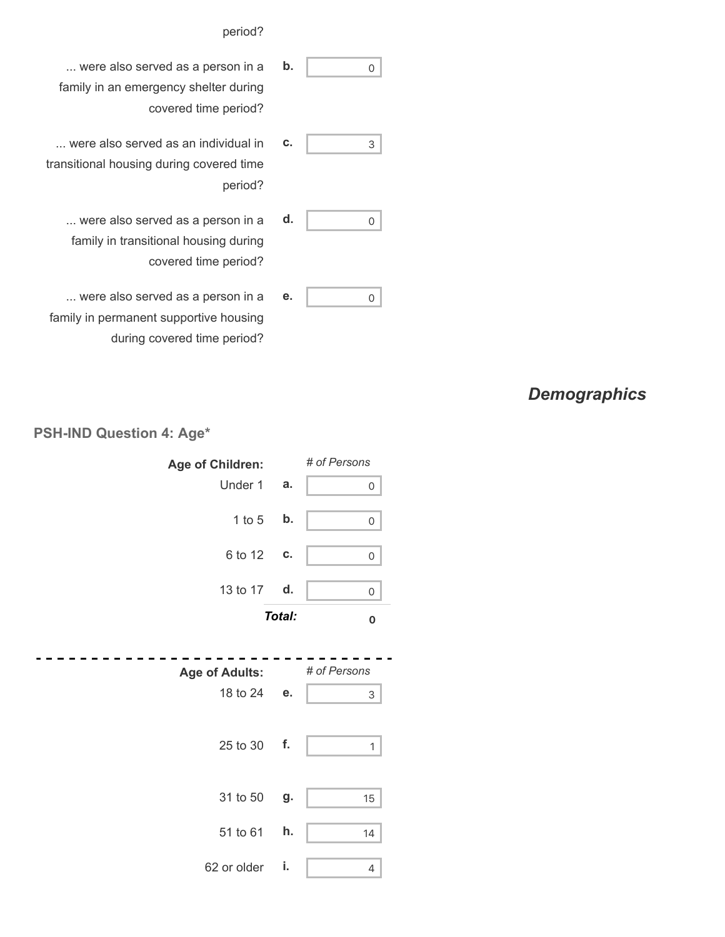#### period?

- ... were also served as a person in a family in an emergency shelter during covered time period? **b.** 0
- ... were also served as an individual in transitional housing during covered time period? **c.**  $\begin{vmatrix} 3 \end{vmatrix}$ 
	- ... were also served as a person in a family in transitional housing during covered time period? **d.**  $\qquad \qquad \circ$
- ... were also served as a person in a family in permanent supportive housing during covered time period? **e.** 0

### *Demographics*



#### **PSH-IND Question 4: Age\***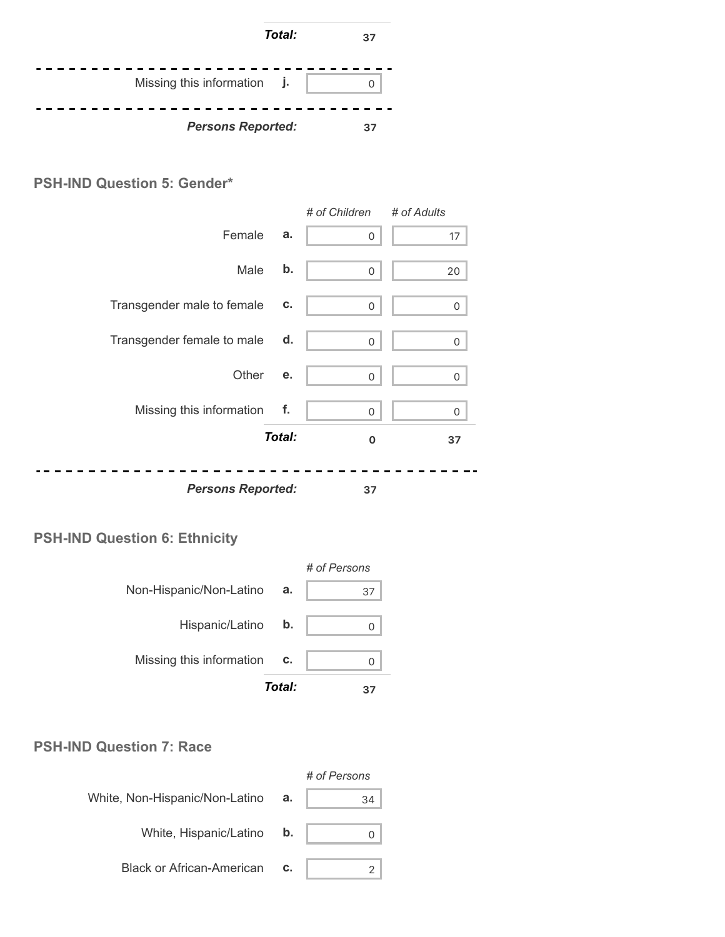

#### **PSH-IND Question 5: Gender\***



*Persons Reported:* **37**

#### **PSH-IND Question 6: Ethnicity**



#### **PSH-IND Question 7: Race**

|                                  |    | # of Persons |
|----------------------------------|----|--------------|
| White, Non-Hispanic/Non-Latino   | а. | 34           |
| White, Hispanic/Latino           | b. |              |
| <b>Black or African-American</b> | C. |              |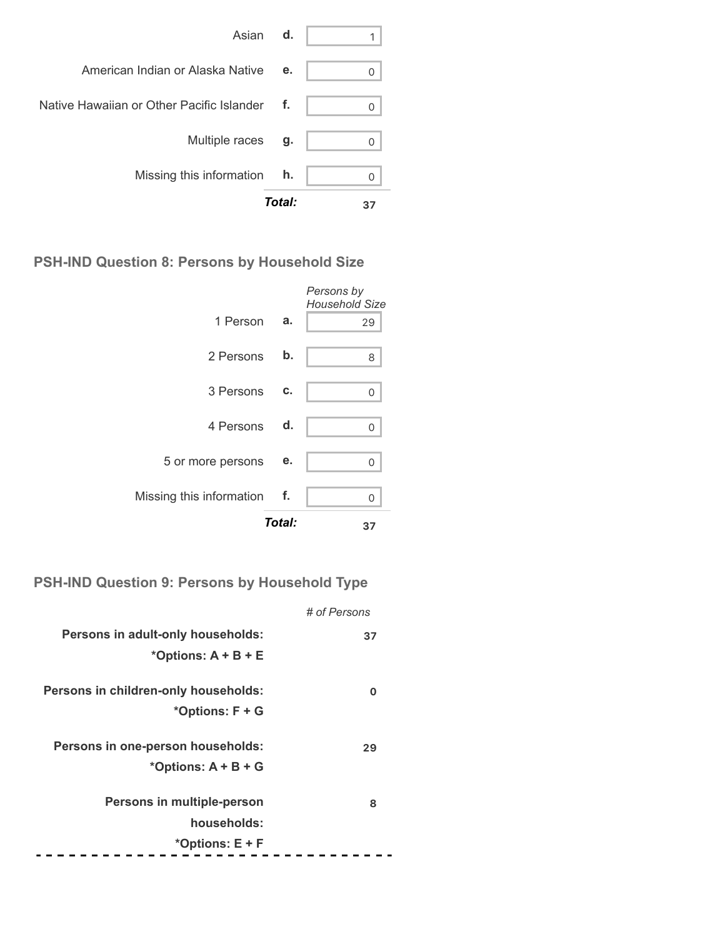

#### **PSH-IND Question 8: Persons by Household Size**

|                          |        | Persons by<br><b>Household Size</b> |
|--------------------------|--------|-------------------------------------|
| 1 Person                 | a.     | 29                                  |
| 2 Persons                | b.     | 8                                   |
| 3 Persons                | c.     | 0                                   |
| 4 Persons d.             |        | 0                                   |
| 5 or more persons        | е.     | 0                                   |
| Missing this information | − f.   | 0                                   |
|                          | Total: | 37                                  |

**PSH-IND Question 9: Persons by Household Type**

|                                      | # of Persons |
|--------------------------------------|--------------|
| Persons in adult-only households:    | 37           |
| *Options: $A + B + E$                |              |
| Persons in children-only households: | O            |
| *Options: F + G                      |              |
| Persons in one-person households:    | 29           |
| *Options: $A + B + G$                |              |
| Persons in multiple-person           | 8            |
| households:                          |              |
| *Options: E + F                      |              |
|                                      |              |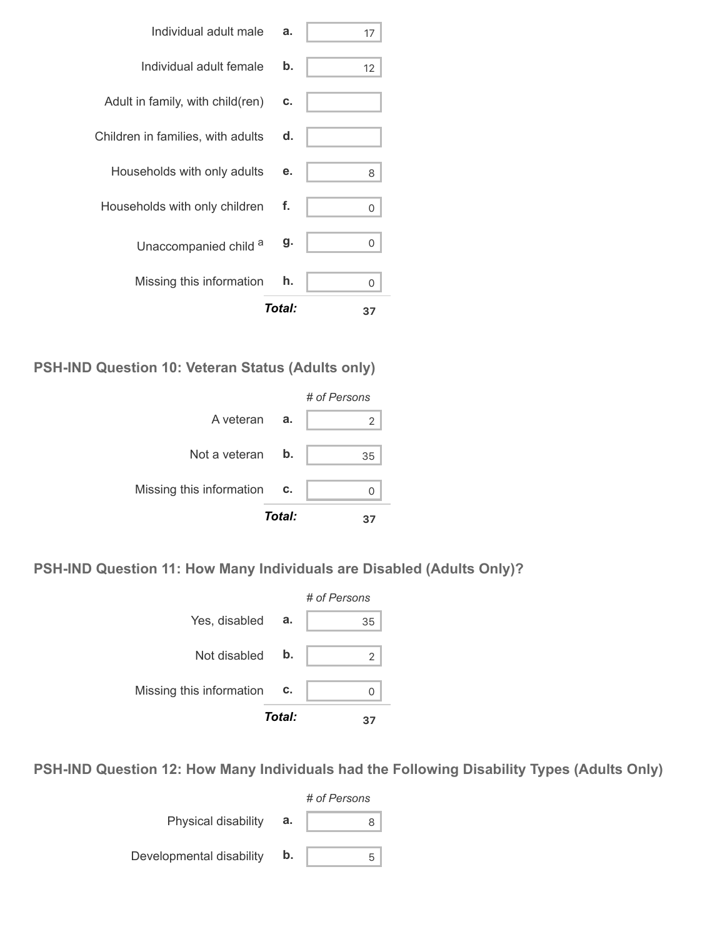| Individual adult male             | a.     | 17 |
|-----------------------------------|--------|----|
| Individual adult female           | b.     | 12 |
| Adult in family, with child(ren)  | C.     |    |
| Children in families, with adults | d.     |    |
| Households with only adults       | е.     | 8  |
| Households with only children     | f.     | 0  |
| Unaccompanied child a             | g.     | 0  |
| Missing this information          | h.     | 0  |
|                                   | Total: | 37 |

**PSH-IND Question 10: Veteran Status (Adults only)**



**PSH-IND Question 11: How Many Individuals are Disabled (Adults Only)?**



**PSH-IND Question 12: How Many Individuals had the Following Disability Types (Adults Only)**

|                          |    | # of Persons |  |  |
|--------------------------|----|--------------|--|--|
| Physical disability      | а. | x            |  |  |
| Developmental disability | b. | 5            |  |  |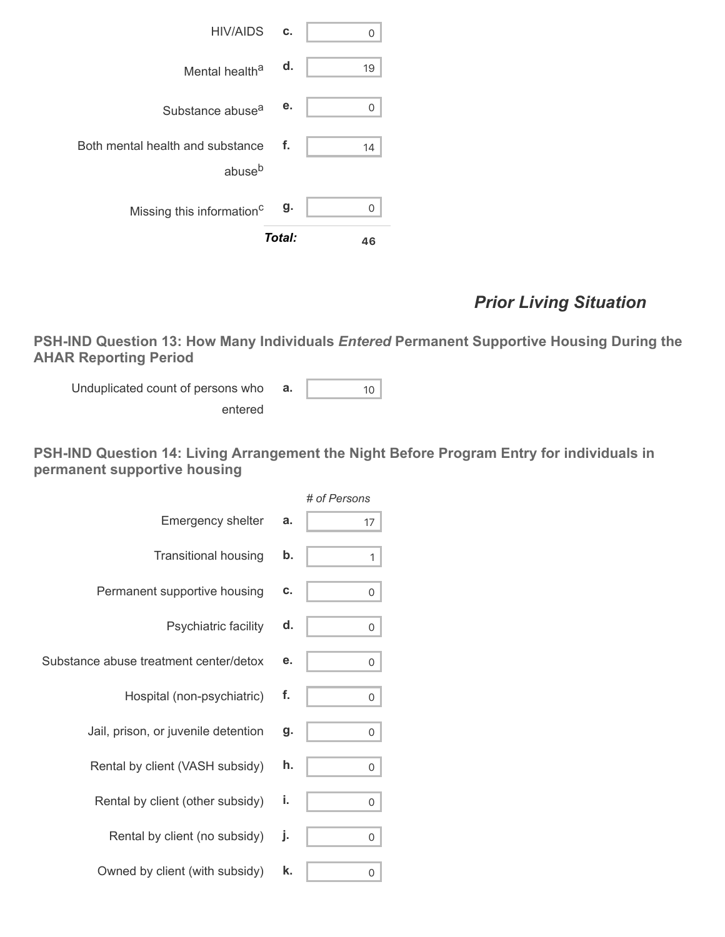

### *Prior Living Situation*

**PSH-IND Question 13: How Many Individuals** *Entered* **Permanent Supportive Housing During the AHAR Reporting Period**

Unduplicated count of persons who entered **a.**  $\begin{vmatrix} 10 \end{vmatrix}$ 

**PSH-IND Question 14: Living Arrangement the Night Before Program Entry for individuals in permanent supportive housing**

|                                        |    | # of Persons |
|----------------------------------------|----|--------------|
| Emergency shelter                      | а. | 17           |
| <b>Transitional housing</b>            | b. | 1            |
| Permanent supportive housing           | c. | 0            |
| Psychiatric facility                   | d. | 0            |
| Substance abuse treatment center/detox | е. | 0            |
| Hospital (non-psychiatric)             | f. | 0            |
| Jail, prison, or juvenile detention    | g. | 0            |
| Rental by client (VASH subsidy)        | h. | 0            |
| Rental by client (other subsidy)       | i. | 0            |
| Rental by client (no subsidy)          | j. | 0            |
| Owned by client (with subsidy)         | k. | 0            |
|                                        |    |              |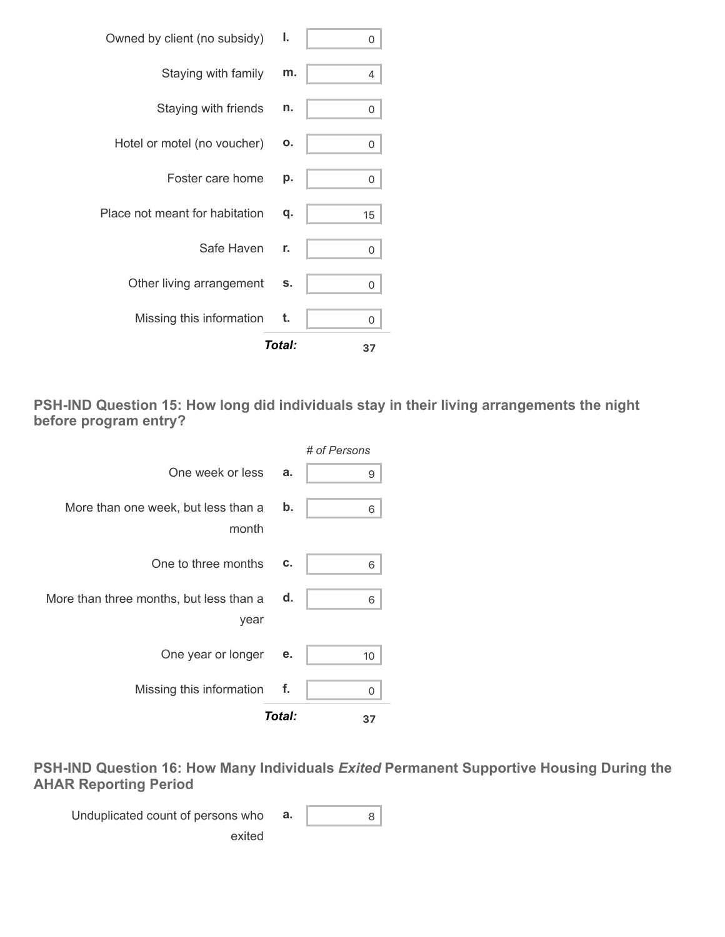| Total:                          |    | 37 |
|---------------------------------|----|----|
| Missing this information t.     |    | 0  |
| Other living arrangement        | s. | 0  |
| Safe Haven                      | r. | 0  |
| Place not meant for habitation  | q. | 15 |
| Foster care home                | p. | 0  |
| Hotel or motel (no voucher)     | Ο. | 0  |
| Staying with friends            | n. | 0  |
| Staying with family             | m. | 4  |
| Owned by client (no subsidy) I. |    | 0  |

**PSH-IND Question 15: How long did individuals stay in their living arrangements the night before program entry?**



**PSH-IND Question 16: How Many Individuals** *Exited* **Permanent Supportive Housing During the AHAR Reporting Period**

Unduplicated count of persons who exited **a.** 8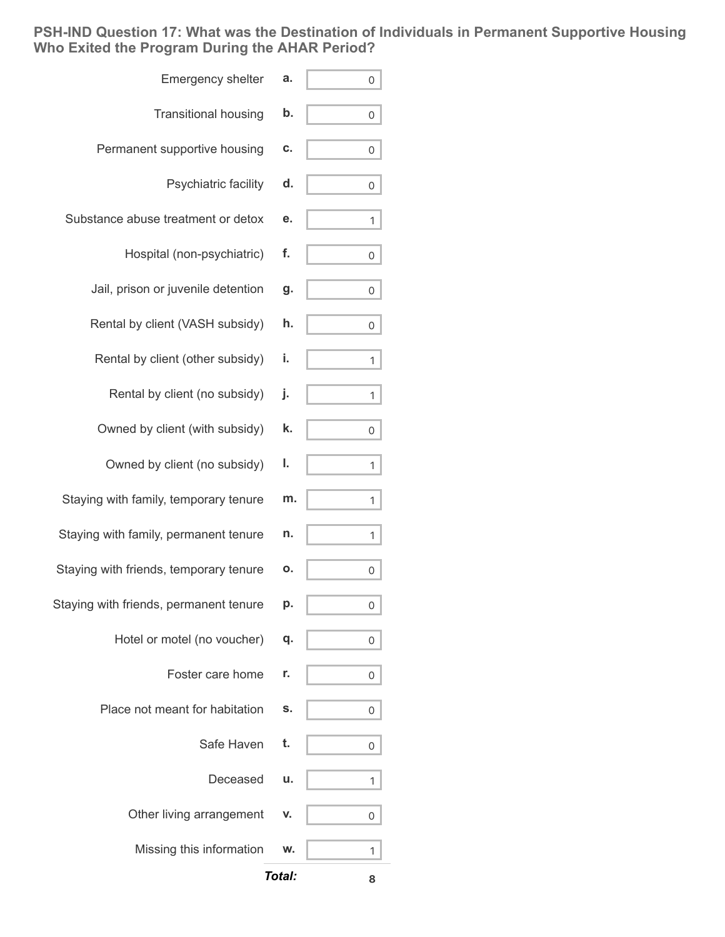**PSH-IND Question 17: What was the Destination of Individuals in Permanent Supportive Housing Who Exited the Program During the AHAR Period?**

| <b>Emergency shelter</b>               | а.     | 0 |
|----------------------------------------|--------|---|
| <b>Transitional housing</b>            | b.     | 0 |
| Permanent supportive housing           | C.     | 0 |
| Psychiatric facility                   | d.     | 0 |
| Substance abuse treatment or detox     | е.     | 1 |
| Hospital (non-psychiatric)             | f.     | 0 |
| Jail, prison or juvenile detention     | g.     | 0 |
| Rental by client (VASH subsidy)        | h.     | 0 |
| Rental by client (other subsidy)       | i.     | 1 |
| Rental by client (no subsidy)          | j.     | 1 |
| Owned by client (with subsidy)         | k.     | 0 |
| Owned by client (no subsidy)           | ı.     | 1 |
| Staying with family, temporary tenure  | m.     | 1 |
| Staying with family, permanent tenure  | n.     | 1 |
| Staying with friends, temporary tenure | Ο.     | 0 |
| Staying with friends, permanent tenure | p.     | 0 |
| Hotel or motel (no voucher)            | q.     | 0 |
| Foster care home                       | r.     | 0 |
| Place not meant for habitation         | S.     | 0 |
| Safe Haven                             | t.     | 0 |
| Deceased                               | u.     | 1 |
| Other living arrangement               | V.     | 0 |
| Missing this information               | W.     | 1 |
|                                        | Total: | 8 |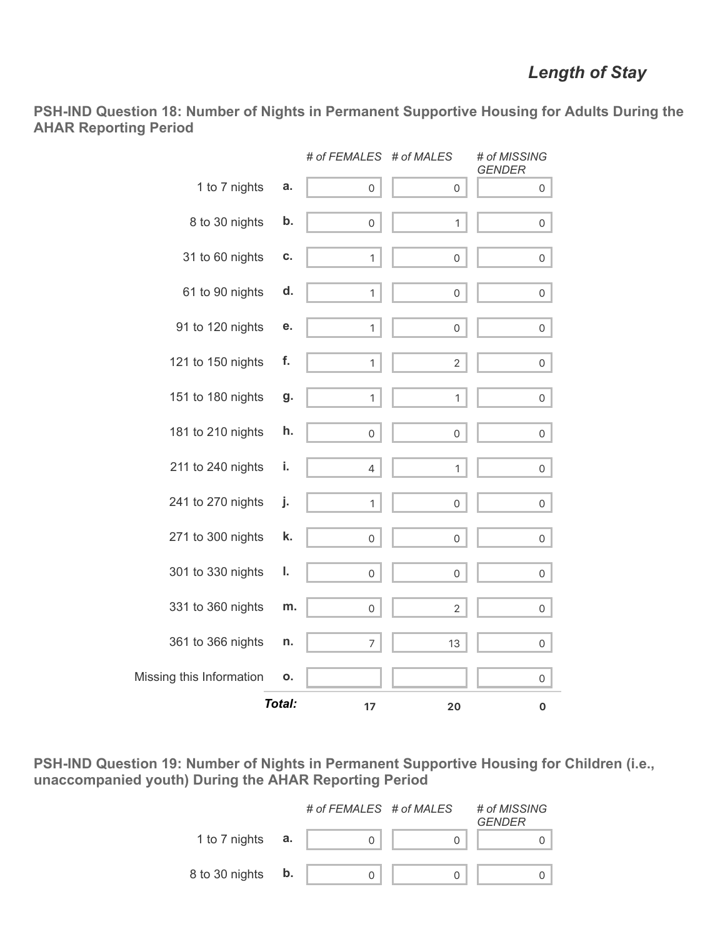**PSH-IND Question 18: Number of Nights in Permanent Supportive Housing for Adults During the AHAR Reporting Period**

|                          |        | # of FEMALES        | # of MALES          | # of MISSING<br><b>GENDER</b> |
|--------------------------|--------|---------------------|---------------------|-------------------------------|
| 1 to 7 nights            | а.     | $\mathsf{O}\xspace$ | 0                   | 0                             |
| 8 to 30 nights           | b.     | $\mathbf 0$         | $\mathbf{1}$        | 0                             |
| 31 to 60 nights          | C.     | $\mathbf{1}$        | 0                   | 0                             |
| 61 to 90 nights          | d.     | $\mathbf{1}$        | 0                   | $\mathsf{O}$                  |
| 91 to 120 nights         | е.     | 1                   | 0                   | 0                             |
| 121 to 150 nights        | f.     | $\mathbf{1}$        | $\overline{2}$      | $\mathsf{O}$                  |
| 151 to 180 nights        | g.     | 1                   | 1                   | 0                             |
| 181 to 210 nights        | h.     | $\mathsf{O}\xspace$ | 0                   | 0                             |
| 211 to 240 nights        | i.     | $\overline{4}$      | $\mathbf{1}$        | $\mathsf{O}$                  |
| 241 to 270 nights        | j.     | 1                   | 0                   | 0                             |
| 271 to 300 nights        | k.     | $\mathsf{O}\xspace$ | $\mathsf{O}\xspace$ | $\mathsf{O}$                  |
| 301 to 330 nights        | ı.     | $\mathsf{O}\xspace$ | 0                   | 0                             |
| 331 to 360 nights        | m.     | 0                   | $\overline{2}$      | 0                             |
| 361 to 366 nights        | n.     | 7                   | 13                  | 0                             |
| Missing this Information | Ο.     |                     |                     | 0                             |
|                          | Total: | 17                  | 20                  | $\pmb{0}$                     |

**PSH-IND Question 19: Number of Nights in Permanent Supportive Housing for Children (i.e., unaccompanied youth) During the AHAR Reporting Period**

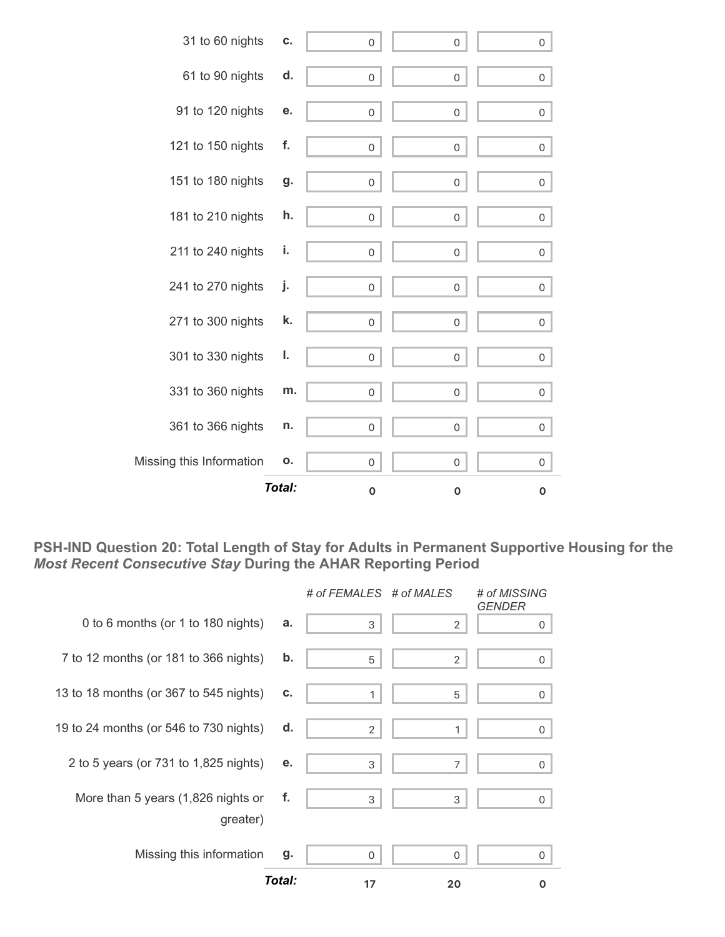

**PSH-IND Question 20: Total Length of Stay for Adults in Permanent Supportive Housing for the** *Most Recent Consecutive Stay* **During the AHAR Reporting Period**

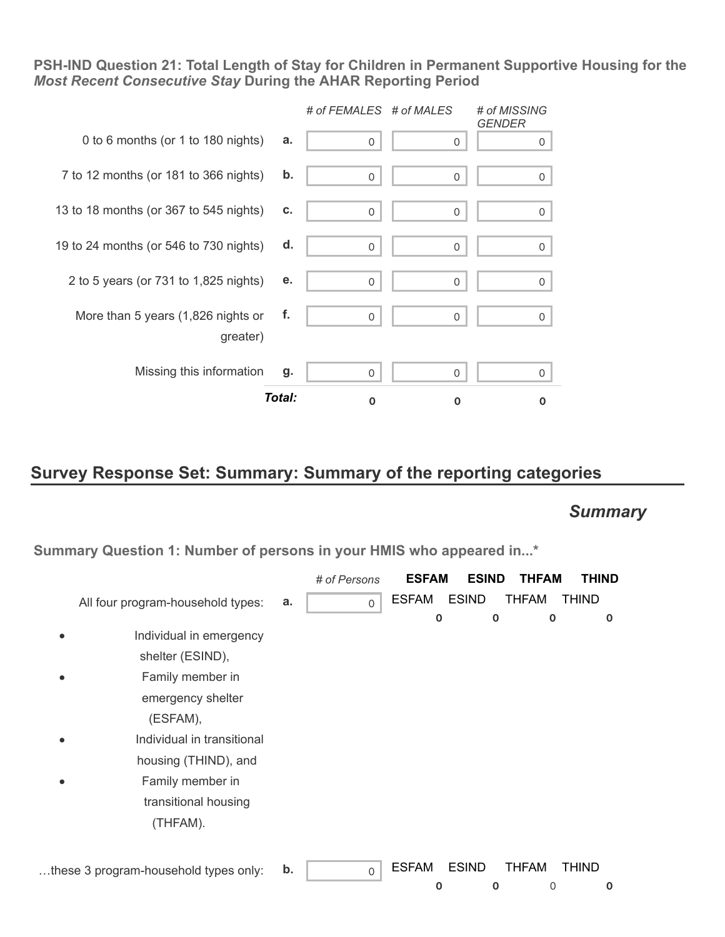**PSH-IND Question 21: Total Length of Stay for Children in Permanent Supportive Housing for the** *Most Recent Consecutive Stay* **During the AHAR Reporting Period**



### **Survey Response Set: Summary: Summary of the reporting categories**

### *Summary*

**Summary Question 1: Number of persons in your HMIS who appeared in...\***

|                                       |    | # of Persons | <b>ESFAM</b> | <b>ESIND</b> | <b>THFAM</b> | <b>THIND</b> |
|---------------------------------------|----|--------------|--------------|--------------|--------------|--------------|
| All four program-household types:     | a. | $\mathbf 0$  | <b>ESFAM</b> | <b>ESIND</b> | <b>THFAM</b> | <b>THIND</b> |
|                                       |    |              | $\mathbf 0$  | $\mathbf 0$  | $\mathbf 0$  | 0            |
| Individual in emergency               |    |              |              |              |              |              |
| shelter (ESIND),                      |    |              |              |              |              |              |
| Family member in                      |    |              |              |              |              |              |
| emergency shelter                     |    |              |              |              |              |              |
| (ESFAM),                              |    |              |              |              |              |              |
| Individual in transitional            |    |              |              |              |              |              |
| housing (THIND), and                  |    |              |              |              |              |              |
| Family member in                      |    |              |              |              |              |              |
| transitional housing                  |    |              |              |              |              |              |
| (THFAM).                              |    |              |              |              |              |              |
|                                       |    |              |              |              |              |              |
| these 3 program-household types only: | b. | $\mathsf{O}$ | <b>ESFAM</b> | <b>ESIND</b> | <b>THFAM</b> | <b>THIND</b> |
|                                       |    |              | $\mathbf 0$  | $\mathbf 0$  | 0            | 0            |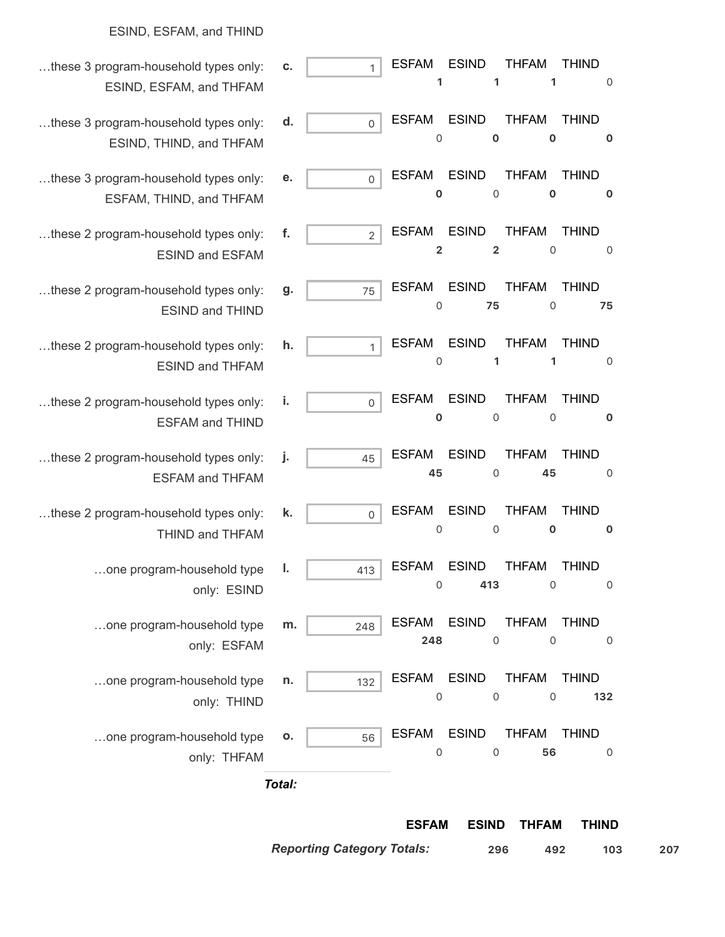#### ESIND, ESFAM, and THIND …these 3 program-household types only: ESIND, ESFAM, and THFAM **c.** 1 **1** ESFAM **1** ESIND **1** THFAM 0 THIND …these 3 program-household types only: ESIND, THIND, and THFAM **d.** 0 0 ESFAM **0** ESIND **0** THFAM THIND **0** …these 3 program-household types only: ESFAM, THIND, and THFAM **e.** 0 **0** ESFAM 0 ESIND **0** THFAM **0** THIND …these 2 program-household types only: ESIND and ESFAM **f.**  $\qquad$  2 **2** ESFAM **2** ESIND 0 THFAM 0 THIND …these 2 program-household types only: ESIND and THIND **g.** 75 0 ESFAM **75** ESIND 0 THFAM **75** THIND …these 2 program-household types only: ESIND and THFAM **h.** 1 0 ESFAM **1** ESIND **1** THFAM 0 THIND …these 2 program-household types only: ESFAM and THIND **i.** 0 **0** ESFAM 0 ESIND  $\overline{0}$ THFAM **0** THIND …these 2 program-household types only: ESFAM and THFAM **j.** 45 **45** ESFAM 0 ESIND **45** THFAM 0 THIND …these 2 program-household types only: THIND and THFAM **k.** 0 0 ESFAM 0 ESIND **0** THFAM **0** THIND …one program-household type only: ESIND **l.**  $413$  $\overline{O}$ ESFAM **413** ESIND 0 THFAM 0 THIND …one program-household type only: ESFAM **m.**  $248$ **248** ESFAM  $\overline{O}$ ESIND  $\overline{0}$ THFAM 0 THIND …one program-household type only: THIND **n.**  $\vert$  132 0 ESFAM 0 ESIND 0 THFAM **132** THIND …one program-household type only: THFAM **o.**  $\begin{bmatrix} 56 \end{bmatrix}$  $\overline{0}$ ESFAM  $\overline{O}$ ESIND **56** THFAM 0 THIND

*Total:*

**ESFAM ESIND THFAM THIND**

*Reporting Category Totals:* **296 492 103 207**